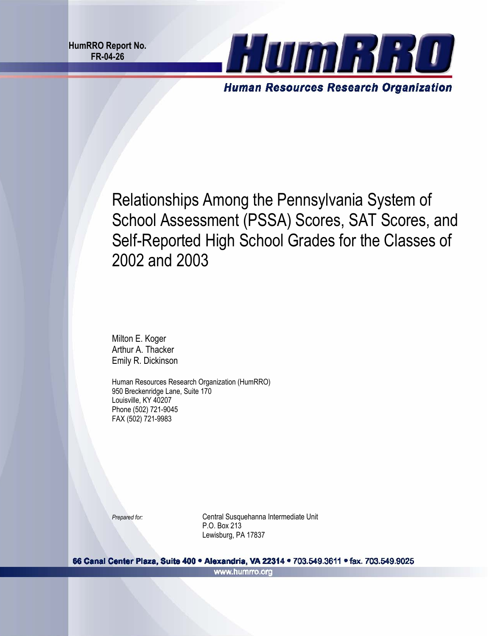

Relationships Among the Pennsylvania System of School Assessment (PSSA) Scores, SAT Scores, and Self-Reported High School Grades for the Classes of 2002 and 2003

Milton E. Koger Arthur A. Thacker Emily R. Dickinson

Human Resources Research Organization (HumRRO) 950 Breckenridge Lane, Suite 170 Louisville, KY 40207 Phone (502) 721-9045 FAX (502) 721-9983

 P.O. Box 213 **Prepared for: Central Susquehanna Intermediate Unit** Lewisburg, PA 17837

66 Canal Center Plaza, Suite 400 · Alexandria, VA 22314 · 703.549.3611 · fax. 703.549.9025 www.humrro.org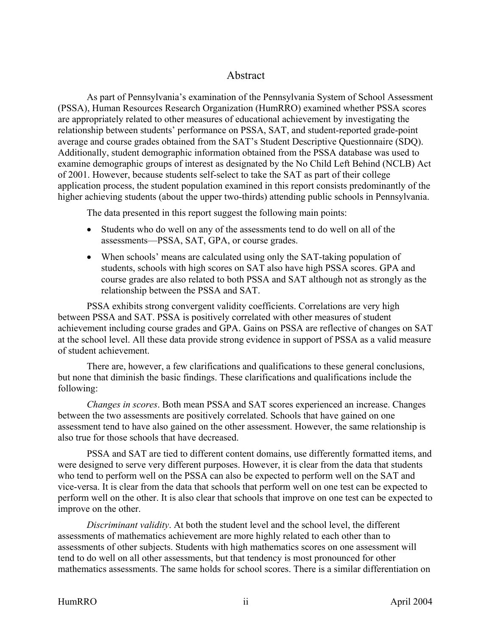## Abstract

As part of Pennsylvania's examination of the Pennsylvania System of School Assessment (PSSA), Human Resources Research Organization (HumRRO) examined whether PSSA scores are appropriately related to other measures of educational achievement by investigating the relationship between students' performance on PSSA, SAT, and student-reported grade-point average and course grades obtained from the SAT's Student Descriptive Questionnaire (SDQ). Additionally, student demographic information obtained from the PSSA database was used to examine demographic groups of interest as designated by the No Child Left Behind (NCLB) Act of 2001. However, because students self-select to take the SAT as part of their college application process, the student population examined in this report consists predominantly of the higher achieving students (about the upper two-thirds) attending public schools in Pennsylvania.

The data presented in this report suggest the following main points:

- Students who do well on any of the assessments tend to do well on all of the assessments—PSSA, SAT, GPA, or course grades.
- When schools' means are calculated using only the SAT-taking population of students, schools with high scores on SAT also have high PSSA scores. GPA and course grades are also related to both PSSA and SAT although not as strongly as the relationship between the PSSA and SAT.

PSSA exhibits strong convergent validity coefficients. Correlations are very high between PSSA and SAT. PSSA is positively correlated with other measures of student achievement including course grades and GPA. Gains on PSSA are reflective of changes on SAT at the school level. All these data provide strong evidence in support of PSSA as a valid measure of student achievement.

There are, however, a few clarifications and qualifications to these general conclusions, but none that diminish the basic findings. These clarifications and qualifications include the following:

*Changes in scores*. Both mean PSSA and SAT scores experienced an increase. Changes between the two assessments are positively correlated. Schools that have gained on one assessment tend to have also gained on the other assessment. However, the same relationship is also true for those schools that have decreased.

PSSA and SAT are tied to different content domains, use differently formatted items, and were designed to serve very different purposes. However, it is clear from the data that students who tend to perform well on the PSSA can also be expected to perform well on the SAT and vice-versa. It is clear from the data that schools that perform well on one test can be expected to perform well on the other. It is also clear that schools that improve on one test can be expected to improve on the other.

*Discriminant validity*. At both the student level and the school level, the different assessments of mathematics achievement are more highly related to each other than to assessments of other subjects. Students with high mathematics scores on one assessment will tend to do well on all other assessments, but that tendency is most pronounced for other mathematics assessments. The same holds for school scores. There is a similar differentiation on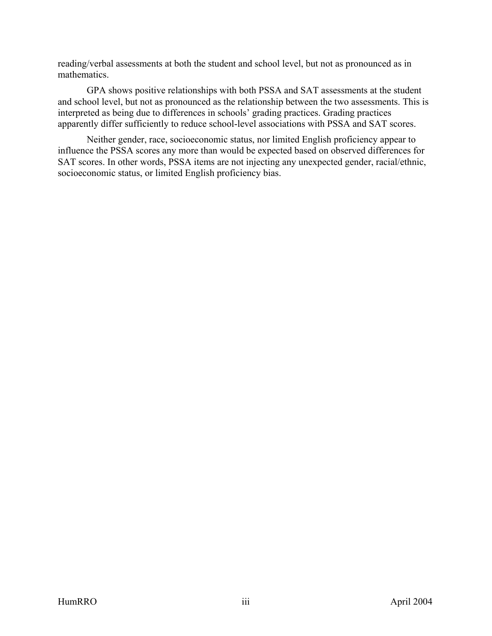reading/verbal assessments at both the student and school level, but not as pronounced as in mathematics.

GPA shows positive relationships with both PSSA and SAT assessments at the student and school level, but not as pronounced as the relationship between the two assessments. This is interpreted as being due to differences in schools' grading practices. Grading practices apparently differ sufficiently to reduce school-level associations with PSSA and SAT scores.

Neither gender, race, socioeconomic status, nor limited English proficiency appear to influence the PSSA scores any more than would be expected based on observed differences for SAT scores. In other words, PSSA items are not injecting any unexpected gender, racial/ethnic, socioeconomic status, or limited English proficiency bias.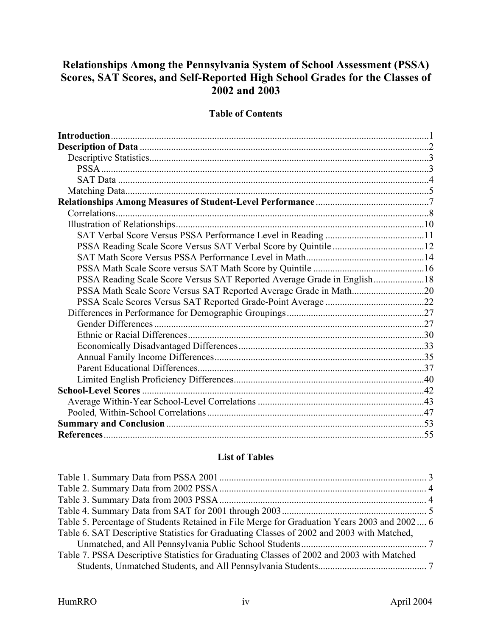# **Relationships Among the Pennsylvania System of School Assessment (PSSA) Scores, SAT Scores, and Self-Reported High School Grades for the Classes of 2002 and 2003**

### **Table of Contents**

| PSSA Reading Scale Score Versus SAT Reported Average Grade in English18 |  |
|-------------------------------------------------------------------------|--|
|                                                                         |  |
|                                                                         |  |
|                                                                         |  |
|                                                                         |  |
|                                                                         |  |
|                                                                         |  |
|                                                                         |  |
|                                                                         |  |
|                                                                         |  |
|                                                                         |  |
|                                                                         |  |
|                                                                         |  |
|                                                                         |  |
|                                                                         |  |

### **List of Tables**

| Table 5. Percentage of Students Retained in File Merge for Graduation Years 2003 and 2002 6 |  |
|---------------------------------------------------------------------------------------------|--|
| Table 6. SAT Descriptive Statistics for Graduating Classes of 2002 and 2003 with Matched,   |  |
|                                                                                             |  |
| Table 7. PSSA Descriptive Statistics for Graduating Classes of 2002 and 2003 with Matched   |  |
|                                                                                             |  |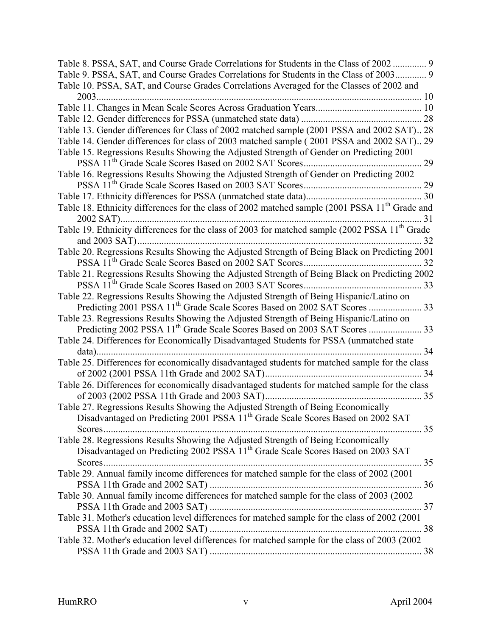| Table 8. PSSA, SAT, and Course Grade Correlations for Students in the Class of 2002  9                     |  |
|------------------------------------------------------------------------------------------------------------|--|
| Table 9. PSSA, SAT, and Course Grades Correlations for Students in the Class of 2003 9                     |  |
| Table 10. PSSA, SAT, and Course Grades Correlations Averaged for the Classes of 2002 and                   |  |
|                                                                                                            |  |
|                                                                                                            |  |
|                                                                                                            |  |
| Table 13. Gender differences for Class of 2002 matched sample (2001 PSSA and 2002 SAT) 28                  |  |
| Table 14. Gender differences for class of 2003 matched sample (2001 PSSA and 2002 SAT) 29                  |  |
| Table 15. Regressions Results Showing the Adjusted Strength of Gender on Predicting 2001                   |  |
|                                                                                                            |  |
| Table 16. Regressions Results Showing the Adjusted Strength of Gender on Predicting 2002                   |  |
|                                                                                                            |  |
|                                                                                                            |  |
| Table 18. Ethnicity differences for the class of 2002 matched sample (2001 PSSA 11 <sup>th</sup> Grade and |  |
|                                                                                                            |  |
| Table 19. Ethnicity differences for the class of 2003 for matched sample (2002 PSSA 11 <sup>th</sup> Grade |  |
|                                                                                                            |  |
| Table 20. Regressions Results Showing the Adjusted Strength of Being Black on Predicting 2001              |  |
|                                                                                                            |  |
| Table 21. Regressions Results Showing the Adjusted Strength of Being Black on Predicting 2002              |  |
|                                                                                                            |  |
| Table 22. Regressions Results Showing the Adjusted Strength of Being Hispanic/Latino on                    |  |
|                                                                                                            |  |
| Table 23. Regressions Results Showing the Adjusted Strength of Being Hispanic/Latino on                    |  |
|                                                                                                            |  |
| Table 24. Differences for Economically Disadvantaged Students for PSSA (unmatched state                    |  |
| . 34                                                                                                       |  |
| Table 25. Differences for economically disadvantaged students for matched sample for the class             |  |
|                                                                                                            |  |
| Table 26. Differences for economically disadvantaged students for matched sample for the class             |  |
|                                                                                                            |  |
| Table 27. Regressions Results Showing the Adjusted Strength of Being Economically                          |  |
| Disadvantaged on Predicting 2001 PSSA 11 <sup>th</sup> Grade Scale Scores Based on 2002 SAT                |  |
|                                                                                                            |  |
| Table 28. Regressions Results Showing the Adjusted Strength of Being Economically                          |  |
| Disadvantaged on Predicting 2002 PSSA 11 <sup>th</sup> Grade Scale Scores Based on 2003 SAT                |  |
|                                                                                                            |  |
| Table 29. Annual family income differences for matched sample for the class of 2002 (2001                  |  |
|                                                                                                            |  |
| Table 30. Annual family income differences for matched sample for the class of 2003 (2002                  |  |
| Table 31. Mother's education level differences for matched sample for the class of 2002 (2001              |  |
|                                                                                                            |  |
| Table 32. Mother's education level differences for matched sample for the class of 2003 (2002              |  |
|                                                                                                            |  |
|                                                                                                            |  |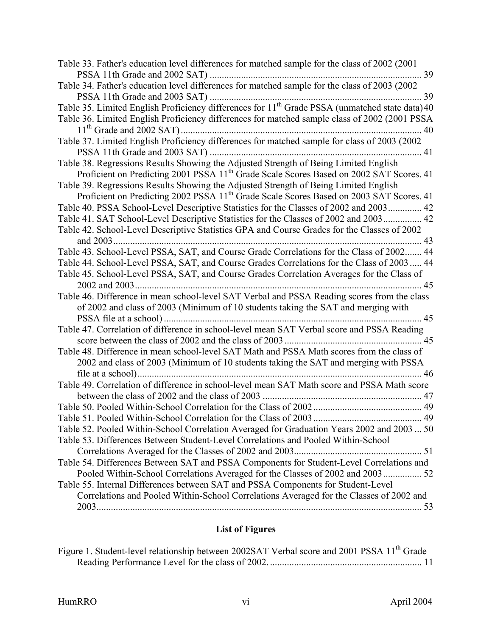| Table 33. Father's education level differences for matched sample for the class of 2002 (2001)              |
|-------------------------------------------------------------------------------------------------------------|
|                                                                                                             |
| Table 34. Father's education level differences for matched sample for the class of 2003 (2002               |
| 39                                                                                                          |
| Table 35. Limited English Proficiency differences for 11 <sup>th</sup> Grade PSSA (unmatched state data) 40 |
| Table 36. Limited English Proficiency differences for matched sample class of 2002 (2001 PSSA               |
|                                                                                                             |
| Table 37. Limited English Proficiency differences for matched sample for class of 2003 (2002                |
|                                                                                                             |
| Table 38. Regressions Results Showing the Adjusted Strength of Being Limited English                        |
| Proficient on Predicting 2001 PSSA 11 <sup>th</sup> Grade Scale Scores Based on 2002 SAT Scores. 41         |
| Table 39. Regressions Results Showing the Adjusted Strength of Being Limited English                        |
| Proficient on Predicting 2002 PSSA 11 <sup>th</sup> Grade Scale Scores Based on 2003 SAT Scores. 41         |
| Table 40. PSSA School-Level Descriptive Statistics for the Classes of 2002 and 2003 42                      |
| Table 41. SAT School-Level Descriptive Statistics for the Classes of 2002 and 2003 42                       |
| Table 42. School-Level Descriptive Statistics GPA and Course Grades for the Classes of 2002                 |
| 43                                                                                                          |
| Table 43. School-Level PSSA, SAT, and Course Grade Correlations for the Class of 2002 44                    |
| Table 44. School-Level PSSA, SAT, and Course Grades Correlations for the Class of 2003 44                   |
| Table 45. School-Level PSSA, SAT, and Course Grades Correlation Averages for the Class of                   |
| 45                                                                                                          |
| Table 46. Difference in mean school-level SAT Verbal and PSSA Reading scores from the class                 |
| of 2002 and class of 2003 (Minimum of 10 students taking the SAT and merging with                           |
| 45                                                                                                          |
| Table 47. Correlation of difference in school-level mean SAT Verbal score and PSSA Reading                  |
|                                                                                                             |
| Table 48. Difference in mean school-level SAT Math and PSSA Math scores from the class of                   |
| 2002 and class of 2003 (Minimum of 10 students taking the SAT and merging with PSSA                         |
| 46                                                                                                          |
| Table 49. Correlation of difference in school-level mean SAT Math score and PSSA Math score                 |
| 47                                                                                                          |
|                                                                                                             |
|                                                                                                             |
| Table 52. Pooled Within-School Correlation Averaged for Graduation Years 2002 and 2003  50                  |
| Table 53. Differences Between Student-Level Correlations and Pooled Within-School                           |
|                                                                                                             |
| Table 54. Differences Between SAT and PSSA Components for Student-Level Correlations and                    |
| Pooled Within-School Correlations Averaged for the Classes of 2002 and 2003 52                              |
| Table 55. Internal Differences between SAT and PSSA Components for Student-Level                            |
| Correlations and Pooled Within-School Correlations Averaged for the Classes of 2002 and                     |
|                                                                                                             |

# **List of Figures**

| Figure 1. Student-level relationship between 2002SAT Verbal score and 2001 PSSA 11 <sup>th</sup> Grade |  |
|--------------------------------------------------------------------------------------------------------|--|
|                                                                                                        |  |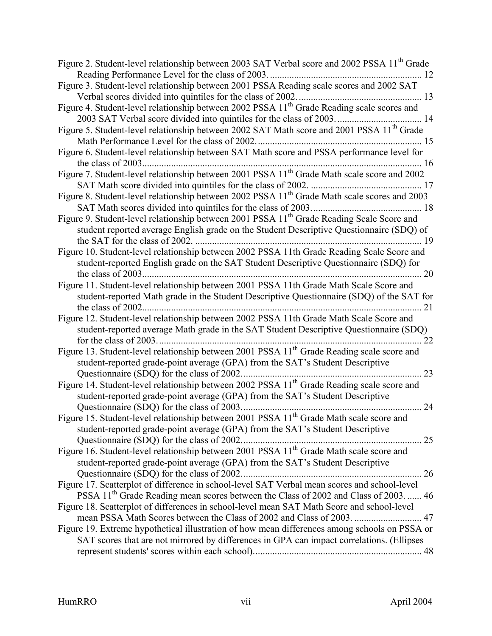| Figure 2. Student-level relationship between 2003 SAT Verbal score and 2002 PSSA 11 <sup>th</sup> Grade  |
|----------------------------------------------------------------------------------------------------------|
|                                                                                                          |
| Figure 3. Student-level relationship between 2001 PSSA Reading scale scores and 2002 SAT                 |
|                                                                                                          |
| Figure 4. Student-level relationship between 2002 PSSA 11 <sup>th</sup> Grade Reading scale scores and   |
| 2003 SAT Verbal score divided into quintiles for the class of 2003 14                                    |
| Figure 5. Student-level relationship between 2002 SAT Math score and 2001 PSSA 11 <sup>th</sup> Grade    |
|                                                                                                          |
| Figure 6. Student-level relationship between SAT Math score and PSSA performance level for               |
|                                                                                                          |
| Figure 7. Student-level relationship between 2001 PSSA 11 <sup>th</sup> Grade Math scale score and 2002  |
|                                                                                                          |
| Figure 8. Student-level relationship between 2002 PSSA 11 <sup>th</sup> Grade Math scale scores and 2003 |
|                                                                                                          |
| Figure 9. Student-level relationship between 2001 PSSA 11 <sup>th</sup> Grade Reading Scale Score and    |
| student reported average English grade on the Student Descriptive Questionnaire (SDQ) of                 |
| the SAT for the class of 2002.<br>19                                                                     |
| Figure 10. Student-level relationship between 2002 PSSA 11th Grade Reading Scale Score and               |
| student-reported English grade on the SAT Student Descriptive Questionnaire (SDQ) for                    |
| 20                                                                                                       |
| Figure 11. Student-level relationship between 2001 PSSA 11th Grade Math Scale Score and                  |
| student-reported Math grade in the Student Descriptive Questionnaire (SDQ) of the SAT for                |
| the class of 2002.<br>21                                                                                 |
| Figure 12. Student-level relationship between 2002 PSSA 11th Grade Math Scale Score and                  |
| student-reported average Math grade in the SAT Student Descriptive Questionnaire (SDQ)                   |
| 22                                                                                                       |
| Figure 13. Student-level relationship between 2001 PSSA 11 <sup>th</sup> Grade Reading scale score and   |
| student-reported grade-point average (GPA) from the SAT's Student Descriptive                            |
| Questionnaire (SDQ) for the class of 2002.<br>23                                                         |
| Figure 14. Student-level relationship between 2002 PSSA 11 <sup>th</sup> Grade Reading scale score and   |
| student-reported grade-point average (GPA) from the SAT's Student Descriptive                            |
|                                                                                                          |
| Figure 15. Student-level relationship between 2001 PSSA 11 <sup>th</sup> Grade Math scale score and      |
| student-reported grade-point average (GPA) from the SAT's Student Descriptive                            |
|                                                                                                          |
| Figure 16. Student-level relationship between 2001 PSSA 11 <sup>th</sup> Grade Math scale score and      |
| student-reported grade-point average (GPA) from the SAT's Student Descriptive                            |
|                                                                                                          |
| Figure 17. Scatterplot of difference in school-level SAT Verbal mean scores and school-level             |
| PSSA 11 <sup>th</sup> Grade Reading mean scores between the Class of 2002 and Class of 2003 46           |
| Figure 18. Scatterplot of differences in school-level mean SAT Math Score and school-level               |
|                                                                                                          |
| Figure 19. Extreme hypothetical illustration of how mean differences among schools on PSSA or            |
| SAT scores that are not mirrored by differences in GPA can impact correlations. (Ellipses                |
|                                                                                                          |
|                                                                                                          |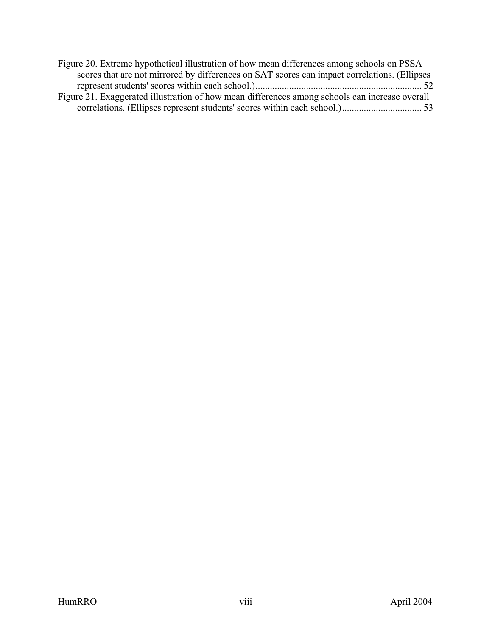| Figure 20. Extreme hypothetical illustration of how mean differences among schools on PSSA     |  |
|------------------------------------------------------------------------------------------------|--|
| scores that are not mirrored by differences on SAT scores can impact correlations. (Ellipses   |  |
|                                                                                                |  |
| Figure 21. Exaggerated illustration of how mean differences among schools can increase overall |  |
|                                                                                                |  |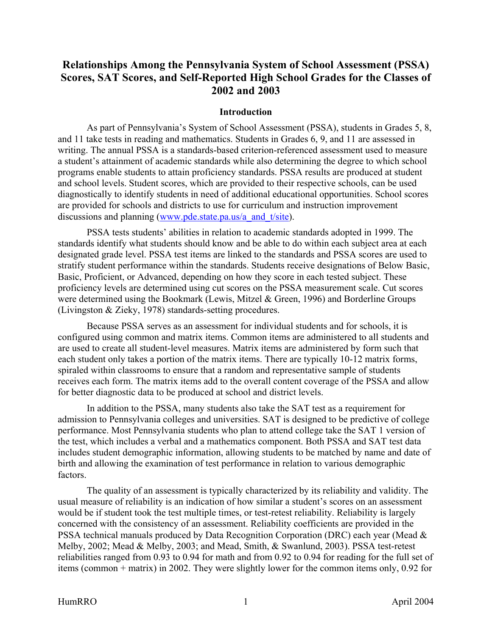## <span id="page-8-0"></span>**Relationships Among the Pennsylvania System of School Assessment (PSSA) Scores, SAT Scores, and Self-Reported High School Grades for the Classes of 2002 and 2003**

#### **Introduction**

As part of Pennsylvania's System of School Assessment (PSSA), students in Grades 5, 8, and 11 take tests in reading and mathematics. Students in Grades 6, 9, and 11 are assessed in writing. The annual PSSA is a standards-based criterion-referenced assessment used to measure a student's attainment of academic standards while also determining the degree to which school programs enable students to attain proficiency standards. PSSA results are produced at student and school levels. Student scores, which are provided to their respective schools, can be used diagnostically to identify students in need of additional educational opportunities. School scores are provided for schools and districts to use for curriculum and instruction improvement discussions and planning (www.pde.state.pa.us/a and t/site).

PSSA tests students' abilities in relation to academic standards adopted in 1999. The standards identify what students should know and be able to do within each subject area at each designated grade level. PSSA test items are linked to the standards and PSSA scores are used to stratify student performance within the standards. Students receive designations of Below Basic, Basic, Proficient, or Advanced, depending on how they score in each tested subject. These proficiency levels are determined using cut scores on the PSSA measurement scale. Cut scores were determined using the Bookmark (Lewis, Mitzel & Green, 1996) and Borderline Groups (Livingston & Zieky, 1978) standards-setting procedures.

Because PSSA serves as an assessment for individual students and for schools, it is configured using common and matrix items. Common items are administered to all students and are used to create all student-level measures. Matrix items are administered by form such that each student only takes a portion of the matrix items. There are typically 10-12 matrix forms, spiraled within classrooms to ensure that a random and representative sample of students receives each form. The matrix items add to the overall content coverage of the PSSA and allow for better diagnostic data to be produced at school and district levels.

In addition to the PSSA, many students also take the SAT test as a requirement for admission to Pennsylvania colleges and universities. SAT is designed to be predictive of college performance. Most Pennsylvania students who plan to attend college take the SAT 1 version of the test, which includes a verbal and a mathematics component. Both PSSA and SAT test data includes student demographic information, allowing students to be matched by name and date of birth and allowing the examination of test performance in relation to various demographic factors.

The quality of an assessment is typically characterized by its reliability and validity. The usual measure of reliability is an indication of how similar a student's scores on an assessment would be if student took the test multiple times, or test-retest reliability. Reliability is largely concerned with the consistency of an assessment. Reliability coefficients are provided in the PSSA technical manuals produced by Data Recognition Corporation (DRC) each year (Mead & Melby, 2002; Mead & Melby, 2003; and Mead, Smith, & Swanlund, 2003). PSSA test-retest reliabilities ranged from 0.93 to 0.94 for math and from 0.92 to 0.94 for reading for the full set of items (common + matrix) in 2002. They were slightly lower for the common items only, 0.92 for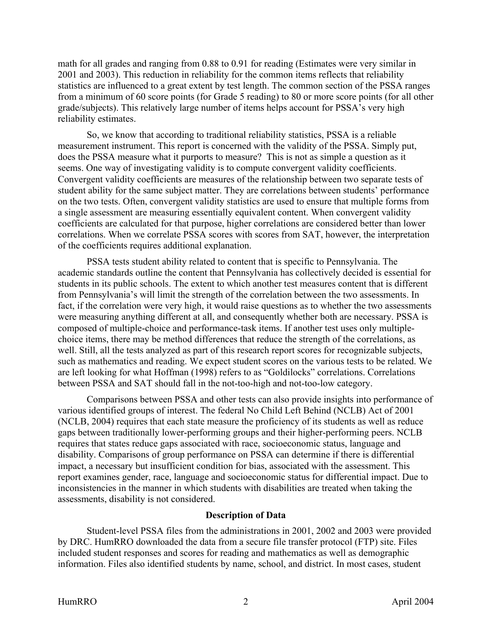<span id="page-9-0"></span>math for all grades and ranging from 0.88 to 0.91 for reading (Estimates were very similar in 2001 and 2003). This reduction in reliability for the common items reflects that reliability statistics are influenced to a great extent by test length. The common section of the PSSA ranges from a minimum of 60 score points (for Grade 5 reading) to 80 or more score points (for all other grade/subjects). This relatively large number of items helps account for PSSA's very high reliability estimates.

So, we know that according to traditional reliability statistics, PSSA is a reliable measurement instrument. This report is concerned with the validity of the PSSA. Simply put, does the PSSA measure what it purports to measure? This is not as simple a question as it seems. One way of investigating validity is to compute convergent validity coefficients. Convergent validity coefficients are measures of the relationship between two separate tests of student ability for the same subject matter. They are correlations between students' performance on the two tests. Often, convergent validity statistics are used to ensure that multiple forms from a single assessment are measuring essentially equivalent content. When convergent validity coefficients are calculated for that purpose, higher correlations are considered better than lower correlations. When we correlate PSSA scores with scores from SAT, however, the interpretation of the coefficients requires additional explanation.

PSSA tests student ability related to content that is specific to Pennsylvania. The academic standards outline the content that Pennsylvania has collectively decided is essential for students in its public schools. The extent to which another test measures content that is different from Pennsylvania's will limit the strength of the correlation between the two assessments. In fact, if the correlation were very high, it would raise questions as to whether the two assessments were measuring anything different at all, and consequently whether both are necessary. PSSA is composed of multiple-choice and performance-task items. If another test uses only multiplechoice items, there may be method differences that reduce the strength of the correlations, as well. Still, all the tests analyzed as part of this research report scores for recognizable subjects, such as mathematics and reading. We expect student scores on the various tests to be related. We are left looking for what Hoffman (1998) refers to as "Goldilocks" correlations. Correlations between PSSA and SAT should fall in the not-too-high and not-too-low category.

Comparisons between PSSA and other tests can also provide insights into performance of various identified groups of interest. The federal No Child Left Behind (NCLB) Act of 2001 (NCLB, 2004) requires that each state measure the proficiency of its students as well as reduce gaps between traditionally lower-performing groups and their higher-performing peers. NCLB requires that states reduce gaps associated with race, socioeconomic status, language and disability. Comparisons of group performance on PSSA can determine if there is differential impact, a necessary but insufficient condition for bias, associated with the assessment. This report examines gender, race, language and socioeconomic status for differential impact. Due to inconsistencies in the manner in which students with disabilities are treated when taking the assessments, disability is not considered.

#### **Description of Data**

Student-level PSSA files from the administrations in 2001, 2002 and 2003 were provided by DRC. HumRRO downloaded the data from a secure file transfer protocol (FTP) site. Files included student responses and scores for reading and mathematics as well as demographic information. Files also identified students by name, school, and district. In most cases, student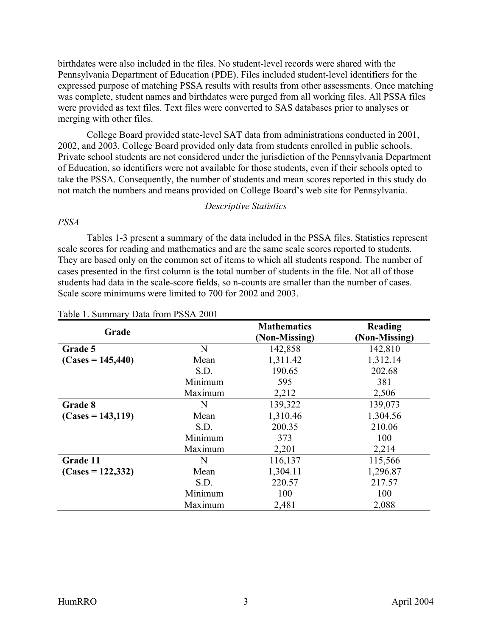birthdates were also included in the files. No student-level records were shared with the Pennsylvania Department of Education (PDE). Files included student-level identifiers for the expressed purpose of matching PSSA results with results from other assessments. Once matching was complete, student names and birthdates were purged from all working files. All PSSA files were provided as text files. Text files were converted to SAS databases prior to analyses or merging with other files.

College Board provided state-level SAT data from administrations conducted in 2001, 2002, and 2003. College Board provided only data from students enrolled in public schools. Private school students are not considered under the jurisdiction of the Pennsylvania Department of Education, so identifiers were not available for those students, even if their schools opted to take the PSSA. Consequently, the number of students and mean scores reported in this study do not match the numbers and means provided on College Board's web site for Pennsylvania.

#### *Descriptive Statistics*

#### *PSSA*

Tables 1-3 present a summary of the data included in the PSSA files. Statistics represent scale scores for reading and mathematics and are the same scale scores reported to students. They are based only on the common set of items to which all students respond. The number of cases presented in the first column is the total number of students in the file. Not all of those students had data in the scale-score fields, so n-counts are smaller than the number of cases. Scale score minimums were limited to 700 for 2002 and 2003.

| Grade               |         | <b>Mathematics</b> | Reading       |
|---------------------|---------|--------------------|---------------|
|                     |         | (Non-Missing)      | (Non-Missing) |
| Grade 5             | N       | 142,858            | 142,810       |
| $(Cases = 145,440)$ | Mean    | 1,311.42           | 1,312.14      |
|                     | S.D.    | 190.65             | 202.68        |
|                     | Minimum | 595                | 381           |
|                     | Maximum | 2,212              | 2,506         |
| Grade 8             | N       | 139,322            | 139,073       |
| $(Cases = 143,119)$ | Mean    | 1,310.46           | 1,304.56      |
|                     | S.D.    | 200.35             | 210.06        |
|                     | Minimum | 373                | 100           |
|                     | Maximum | 2,201              | 2,214         |
| Grade 11            | N       | 116,137            | 115,566       |
| $(Cases = 122,332)$ | Mean    | 1,304.11           | 1,296.87      |
|                     | S.D.    | 220.57             | 217.57        |
|                     | Minimum | 100                | 100           |
|                     | Maximum | 2,481              | 2,088         |

#### Table 1. Summary Data from PSSA 2001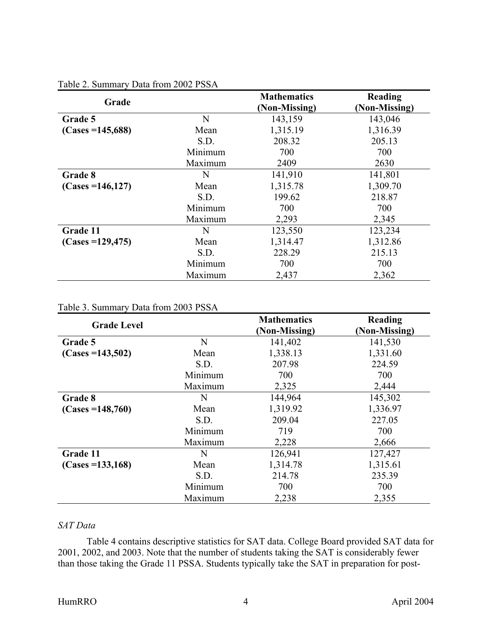| Grade                |         | <b>Mathematics</b><br>(Non-Missing) | Reading<br>(Non-Missing) |
|----------------------|---------|-------------------------------------|--------------------------|
| Grade 5              | N       | 143,159                             | 143,046                  |
| $(Cases = 145,688)$  | Mean    | 1,315.19                            | 1,316.39                 |
|                      | S.D.    | 208.32                              | 205.13                   |
|                      | Minimum | 700                                 | 700                      |
|                      | Maximum | 2409                                | 2630                     |
| Grade 8              | N       | 141,910                             | 141,801                  |
| $(Cases = 146, 127)$ | Mean    | 1,315.78                            | 1,309.70                 |
|                      | S.D.    | 199.62                              | 218.87                   |
|                      | Minimum | 700                                 | 700                      |
|                      | Maximum | 2,293                               | 2,345                    |
| Grade 11             | N       | 123,550                             | 123,234                  |
| $(Cases = 129,475)$  | Mean    | 1,314.47                            | 1,312.86                 |
|                      | S.D.    | 228.29                              | 215.13                   |
|                      | Minimum | 700                                 | 700                      |
|                      | Maximum | 2,437                               | 2,362                    |

#### Table 2. Summary Data from 2002 PSSA

## Table 3. Summary Data from 2003 PSSA

| <b>Grade Level</b>  |         | <b>Mathematics</b> | Reading       |
|---------------------|---------|--------------------|---------------|
|                     |         | (Non-Missing)      | (Non-Missing) |
| Grade 5             | N       | 141,402            | 141,530       |
| $(Cases = 143,502)$ | Mean    | 1,338.13           | 1,331.60      |
|                     | S.D.    | 207.98             | 224.59        |
|                     | Minimum | 700                | 700           |
|                     | Maximum | 2,325              | 2,444         |
| Grade 8             | N       | 144,964            | 145,302       |
| $(Cases = 148,760)$ | Mean    | 1,319.92           | 1,336.97      |
|                     | S.D.    | 209.04             | 227.05        |
|                     | Minimum | 719                | 700           |
|                     | Maximum | 2,228              | 2,666         |
| Grade 11            | N       | 126,941            | 127,427       |
| $(Cases = 133,168)$ | Mean    | 1,314.78           | 1,315.61      |
|                     | S.D.    | 214.78             | 235.39        |
|                     | Minimum | 700                | 700           |
|                     | Maximum | 2,238              | 2,355         |

## *SAT Data*

Table 4 contains descriptive statistics for SAT data. College Board provided SAT data for 2001, 2002, and 2003. Note that the number of students taking the SAT is considerably fewer than those taking the Grade 11 PSSA. Students typically take the SAT in preparation for post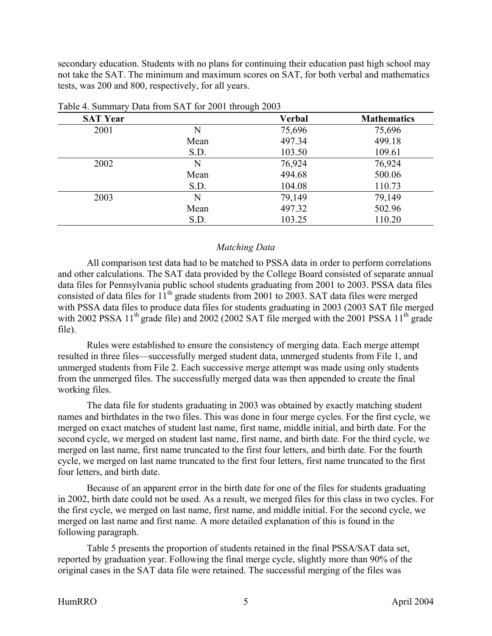secondary education. Students with no plans for continuing their education past high school may not take the SAT. The minimum and maximum scores on SAT, for both verbal and mathematics tests, was 200 and 800, respectively, for all years.

| <b>SAT Year</b> |      | <b>Verbal</b> | <b>Mathematics</b> |
|-----------------|------|---------------|--------------------|
| 2001            | N    | 75,696        | 75,696             |
|                 | Mean | 497.34        | 499.18             |
|                 | S.D. | 103.50        | 109.61             |
| 2002            | N    | 76,924        | 76,924             |
|                 | Mean | 494.68        | 500.06             |
|                 | S.D. | 104.08        | 110.73             |
| 2003            | N    | 79,149        | 79,149             |
|                 | Mean | 497.32        | 502.96             |
|                 | S.D. | 103.25        | 110.20             |

Table 4. Summary Data from SAT for 2001 through 2003

#### *Matching Data*

All comparison test data had to be matched to PSSA data in order to perform correlations and other calculations. The SAT data provided by the College Board consisted of separate annual data files for Pennsylvania public school students graduating from 2001 to 2003. PSSA data files consisted of data files for  $11<sup>th</sup>$  grade students from 2001 to 2003. SAT data files were merged with PSSA data files to produce data files for students graduating in 2003 (2003 SAT file merged with 2002 PSSA  $11<sup>th</sup>$  grade file) and 2002 (2002 SAT file merged with the 2001 PSSA  $11<sup>th</sup>$  grade file).

Rules were established to ensure the consistency of merging data. Each merge attempt resulted in three files—successfully merged student data, unmerged students from File 1, and unmerged students from File 2. Each successive merge attempt was made using only students from the unmerged files. The successfully merged data was then appended to create the final working files.

The data file for students graduating in 2003 was obtained by exactly matching student names and birthdates in the two files. This was done in four merge cycles. For the first cycle, we merged on exact matches of student last name, first name, middle initial, and birth date. For the second cycle, we merged on student last name, first name, and birth date. For the third cycle, we merged on last name, first name truncated to the first four letters, and birth date. For the fourth cycle, we merged on last name truncated to the first four letters, first name truncated to the first four letters, and birth date.

Because of an apparent error in the birth date for one of the files for students graduating in 2002, birth date could not be used. As a result, we merged files for this class in two cycles. For the first cycle, we merged on last name, first name, and middle initial. For the second cycle, we merged on last name and first name. A more detailed explanation of this is found in the following paragraph.

Table 5 presents the proportion of students retained in the final PSSA/SAT data set, reported by graduation year. Following the final merge cycle, slightly more than 90% of the original cases in the SAT data file were retained. The successful merging of the files was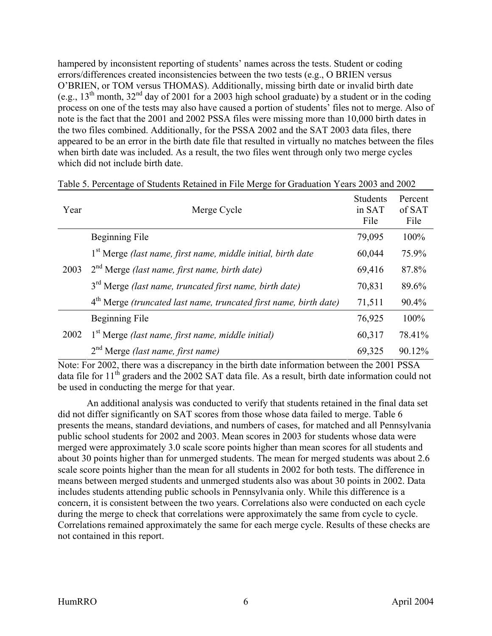hampered by inconsistent reporting of students' names across the tests. Student or coding errors/differences created inconsistencies between the two tests (e.g., O BRIEN versus O'BRIEN, or TOM versus THOMAS). Additionally, missing birth date or invalid birth date (e.g.,  $13<sup>th</sup>$  month,  $32<sup>nd</sup>$  day of 2001 for a 2003 high school graduate) by a student or in the coding process on one of the tests may also have caused a portion of students' files not to merge. Also of note is the fact that the 2001 and 2002 PSSA files were missing more than 10,000 birth dates in the two files combined. Additionally, for the PSSA 2002 and the SAT 2003 data files, there appeared to be an error in the birth date file that resulted in virtually no matches between the files when birth date was included. As a result, the two files went through only two merge cycles which did not include birth date.

| Year | Merge Cycle                                                                   | <b>Students</b><br>in SAT<br>File | Percent<br>of SAT<br>File |
|------|-------------------------------------------------------------------------------|-----------------------------------|---------------------------|
|      | Beginning File                                                                | 79,095                            | 100%                      |
|      | $1st$ Merge (last name, first name, middle initial, birth date                | 60,044                            | 75.9%                     |
| 2003 | 2 <sup>nd</sup> Merge (last name, first name, birth date)                     | 69,416                            | 87.8%                     |
|      | 3 <sup>rd</sup> Merge <i>(last name, truncated first name, birth date)</i>    | 70,831                            | 89.6%                     |
|      | 4 <sup>th</sup> Merge (truncated last name, truncated first name, birth date) | 71,511                            | 90.4%                     |
| 2002 | Beginning File                                                                | 76,925                            | 100%                      |
|      | $1st$ Merge (last name, first name, middle initial)                           | 60,317                            | 78.41%                    |
|      | $2nd$ Merge (last name, first name)                                           | 69,325                            | 90.12%                    |

| Table 5. Percentage of Students Retained in File Merge for Graduation Years 2003 and 2002 |  |  |
|-------------------------------------------------------------------------------------------|--|--|
|                                                                                           |  |  |

Note: For 2002, there was a discrepancy in the birth date information between the 2001 PSSA data file for  $11<sup>th</sup>$  graders and the 2002 SAT data file. As a result, birth date information could not be used in conducting the merge for that year.

An additional analysis was conducted to verify that students retained in the final data set did not differ significantly on SAT scores from those whose data failed to merge. Table 6 presents the means, standard deviations, and numbers of cases, for matched and all Pennsylvania public school students for 2002 and 2003. Mean scores in 2003 for students whose data were merged were approximately 3.0 scale score points higher than mean scores for all students and about 30 points higher than for unmerged students. The mean for merged students was about 2.6 scale score points higher than the mean for all students in 2002 for both tests. The difference in means between merged students and unmerged students also was about 30 points in 2002. Data includes students attending public schools in Pennsylvania only. While this difference is a concern, it is consistent between the two years. Correlations also were conducted on each cycle during the merge to check that correlations were approximately the same from cycle to cycle. Correlations remained approximately the same for each merge cycle. Results of these checks are not contained in this report.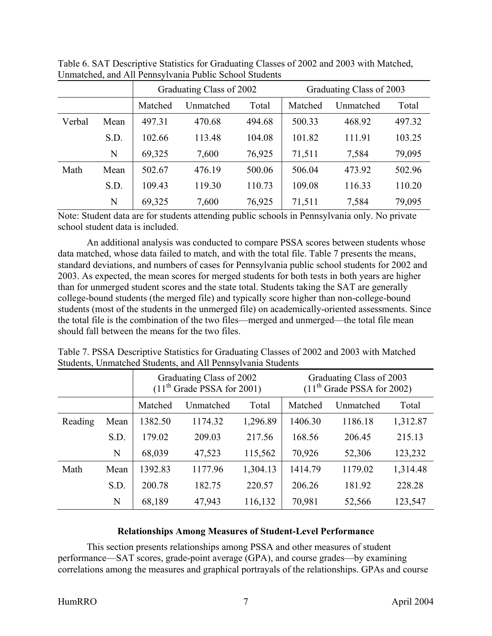|        |      |         | Graduating Class of 2002 |        | Graduating Class of 2003 |           |        |  |  |  |
|--------|------|---------|--------------------------|--------|--------------------------|-----------|--------|--|--|--|
|        |      | Matched | Unmatched                | Total  | Matched                  | Unmatched | Total  |  |  |  |
| Verbal | Mean | 497.31  | 470.68                   | 494.68 | 500.33                   | 468.92    | 497.32 |  |  |  |
|        | S.D. | 102.66  | 113.48                   | 104.08 | 101.82                   | 111.91    | 103.25 |  |  |  |
|        | N    | 69,325  | 7,600                    | 76,925 | 71,511                   | 7,584     | 79,095 |  |  |  |
| Math   | Mean | 502.67  | 476.19                   | 500.06 | 506.04                   | 473.92    | 502.96 |  |  |  |
|        | S.D. | 109.43  | 119.30                   | 110.73 | 109.08                   | 116.33    | 110.20 |  |  |  |
|        | N    | 69,325  | 7,600                    | 76,925 | 71,511                   | 7,584     | 79,095 |  |  |  |

Table 6. SAT Descriptive Statistics for Graduating Classes of 2002 and 2003 with Matched, Unmatched, and All Pennsylvania Public School Students

Note: Student data are for students attending public schools in Pennsylvania only. No private school student data is included.

An additional analysis was conducted to compare PSSA scores between students whose data matched, whose data failed to match, and with the total file. Table 7 presents the means, standard deviations, and numbers of cases for Pennsylvania public school students for 2002 and 2003. As expected, the mean scores for merged students for both tests in both years are higher than for unmerged student scores and the state total. Students taking the SAT are generally college-bound students (the merged file) and typically score higher than non-college-bound students (most of the students in the unmerged file) on academically-oriented assessments. Since the total file is the combination of the two files—merged and unmerged—the total file mean should fall between the means for the two files.

|         |      |                  | Graduating Class of 2002<br>$(11th$ Grade PSSA for 2001) |          |         | Graduating Class of 2003<br>$(11th$ Grade PSSA for 2002) |          |  |
|---------|------|------------------|----------------------------------------------------------|----------|---------|----------------------------------------------------------|----------|--|
|         |      | Matched          | Unmatched                                                | Total    | Matched | Unmatched                                                | Total    |  |
| Reading | Mean | 1382.50          | 1174.32                                                  | 1,296.89 | 1406.30 | 1186.18                                                  | 1,312.87 |  |
|         | S.D. | 179.02<br>209.03 |                                                          | 217.56   | 168.56  | 206.45                                                   | 215.13   |  |
|         | N    | 68,039           | 47,523                                                   | 115,562  | 70,926  | 52,306                                                   | 123,232  |  |
| Math    | Mean | 1392.83          | 1177.96                                                  | 1,304.13 | 1414.79 | 1179.02                                                  | 1,314.48 |  |
|         | S.D. | 200.78           | 182.75                                                   | 220.57   | 206.26  | 181.92                                                   | 228.28   |  |
|         | N    | 68,189           | 47,943                                                   | 116,132  | 70,981  | 52,566                                                   | 123,547  |  |

Table 7. PSSA Descriptive Statistics for Graduating Classes of 2002 and 2003 with Matched Students, Unmatched Students, and All Pennsylvania Students

## **Relationships Among Measures of Student-Level Performance**

This section presents relationships among PSSA and other measures of student performance—SAT scores, grade-point average (GPA), and course grades—by examining correlations among the measures and graphical portrayals of the relationships. GPAs and course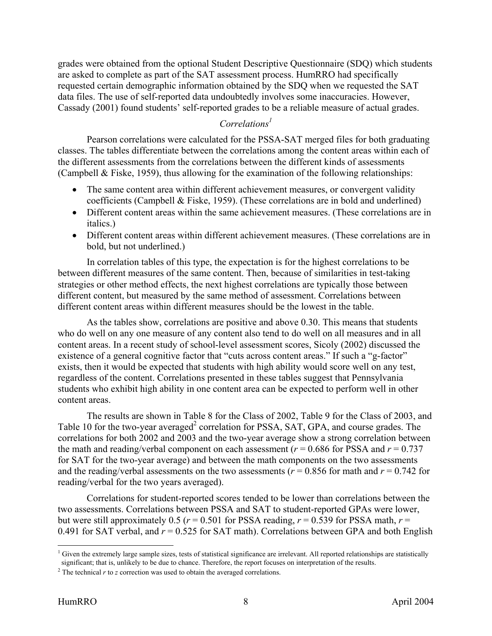<span id="page-15-0"></span>grades were obtained from the optional Student Descriptive Questionnaire (SDQ) which students are asked to complete as part of the SAT assessment process. HumRRO had specifically requested certain demographic information obtained by the SDQ when we requested the SAT data files. The use of self-reported data undoubtedly involves some inaccuracies. However, Cassady (2001) found students' self-reported grades to be a reliable measure of actual grades.

## *Correlations1*

Pearson correlations were calculated for the PSSA-SAT merged files for both graduating classes. The tables differentiate between the correlations among the content areas within each of the different assessments from the correlations between the different kinds of assessments (Campbell & Fiske, 1959), thus allowing for the examination of the following relationships:

- The same content area within different achievement measures, or convergent validity coefficients (Campbell & Fiske, 1959). (These correlations are in bold and underlined)
- Different content areas within the same achievement measures. (These correlations are in italics.)
- Different content areas within different achievement measures. (These correlations are in bold, but not underlined.)

In correlation tables of this type, the expectation is for the highest correlations to be between different measures of the same content. Then, because of similarities in test-taking strategies or other method effects, the next highest correlations are typically those between different content, but measured by the same method of assessment. Correlations between different content areas within different measures should be the lowest in the table.

As the tables show, correlations are positive and above 0.30. This means that students who do well on any one measure of any content also tend to do well on all measures and in all content areas. In a recent study of school-level assessment scores, Sicoly (2002) discussed the existence of a general cognitive factor that "cuts across content areas." If such a "g-factor" exists, then it would be expected that students with high ability would score well on any test, regardless of the content. Correlations presented in these tables suggest that Pennsylvania students who exhibit high ability in one content area can be expected to perform well in other content areas.

The results are shown in Table 8 for the Class of 2002, Table 9 for the Class of 2003, and Table 10 for the two-year averaged<sup>2</sup> correlation for PSSA, SAT, GPA, and course grades. The correlations for both 2002 and 2003 and the two-year average show a strong correlation between the math and reading/verbal component on each assessment ( $r = 0.686$  for PSSA and  $r = 0.737$ ) for SAT for the two-year average) and between the math components on the two assessments and the reading/verbal assessments on the two assessments ( $r = 0.856$  for math and  $r = 0.742$  for reading/verbal for the two years averaged).

Correlations for student-reported scores tended to be lower than correlations between the two assessments. Correlations between PSSA and SAT to student-reported GPAs were lower, but were still approximately 0.5 ( $r = 0.501$  for PSSA reading,  $r = 0.539$  for PSSA math,  $r =$ 0.491 for SAT verbal, and *r* = 0.525 for SAT math). Correlations between GPA and both English

<sup>&</sup>lt;sup>1</sup> Given the extremely large sample sizes, tests of statistical significance are irrelevant. All reported relationships are statistically significant; that is, unlikely to be due to chance. Therefore, the report focuses on interpretation of the results.

 $\frac{1}{2}$  The technical *r* to *z* correction was used to obtain the averaged correlations.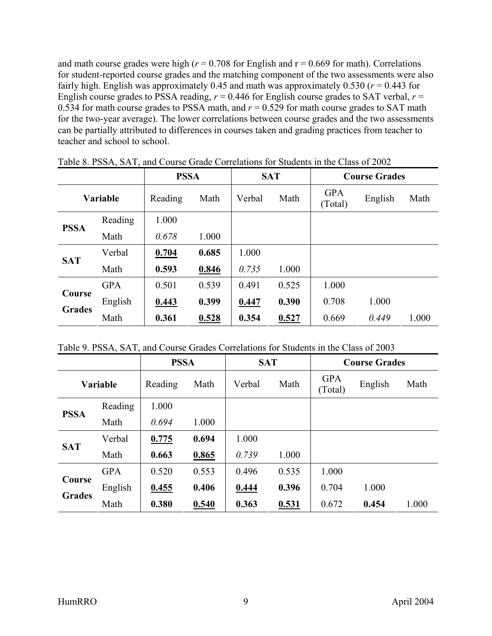and math course grades were high ( $r = 0.708$  for English and  $r = 0.669$  for math). Correlations for student-reported course grades and the matching component of the two assessments were also fairly high. English was approximately 0.45 and math was approximately 0.530 ( $r = 0.443$  for English course grades to PSSA reading,  $r = 0.446$  for English course grades to SAT verbal,  $r =$ 0.534 for math course grades to PSSA math, and  $r = 0.529$  for math course grades to SAT math for the two-year average). The lower correlations between course grades and the two assessments can be partially attributed to differences in courses taken and grading practices from teacher to teacher and school to school.

|                         |            |         | <b>PSSA</b> |        | <b>SAT</b> |                       | <b>Course Grades</b> |       |
|-------------------------|------------|---------|-------------|--------|------------|-----------------------|----------------------|-------|
| Variable                |            | Reading | Math        | Verbal | Math       | <b>GPA</b><br>(Total) | English              | Math  |
| <b>PSSA</b>             | Reading    | 1.000   |             |        |            |                       |                      |       |
|                         | Math       | 0.678   | 1.000       |        |            |                       |                      |       |
|                         | Verbal     | 0.704   | 0.685       | 1.000  |            |                       |                      |       |
| <b>SAT</b>              | Math       | 0.593   | 0.846       | 0.735  | 1.000      |                       |                      |       |
|                         | <b>GPA</b> | 0.501   | 0.539       | 0.491  | 0.525      | 1.000                 |                      |       |
| Course<br><b>Grades</b> | English    | 0.443   | 0.399       | 0.447  | 0.390      | 0.708                 | 1.000                |       |
|                         | Math       | 0.361   | 0.528       | 0.354  | 0.527      | 0.669                 | 0.449                | 1.000 |

Table 8. PSSA, SAT, and Course Grade Correlations for Students in the Class of 2002

|  | Table 9. PSSA, SAT, and Course Grades Correlations for Students in the Class of 2003 |  |  |  |  |  |  |  |  |
|--|--------------------------------------------------------------------------------------|--|--|--|--|--|--|--|--|
|--|--------------------------------------------------------------------------------------|--|--|--|--|--|--|--|--|

|                         |            | <b>PSSA</b> |       | <b>SAT</b> |       | <b>Course Grades</b> |         |       |  |
|-------------------------|------------|-------------|-------|------------|-------|----------------------|---------|-------|--|
| <b>Variable</b>         |            | Reading     | Math  | Verbal     | Math  |                      | English | Math  |  |
|                         | Reading    | 1.000       |       |            |       |                      |         |       |  |
| <b>PSSA</b>             | Math       | 0.694       | 1.000 |            |       |                      |         |       |  |
|                         | Verbal     | 0.775       | 0.694 | 1.000      |       |                      |         |       |  |
| <b>SAT</b>              | Math       | 0.663       | 0.865 | 0.739      | 1.000 |                      |         |       |  |
|                         | <b>GPA</b> | 0.520       | 0.553 | 0.496      | 0.535 | 1.000                |         |       |  |
| Course<br><b>Grades</b> | English    | 0.455       | 0.406 | 0.444      | 0.396 | 0.704                | 1.000   |       |  |
|                         | Math       | 0.380       | 0.540 | 0.363      | 0.531 | 0.672                | 0.454   | 1.000 |  |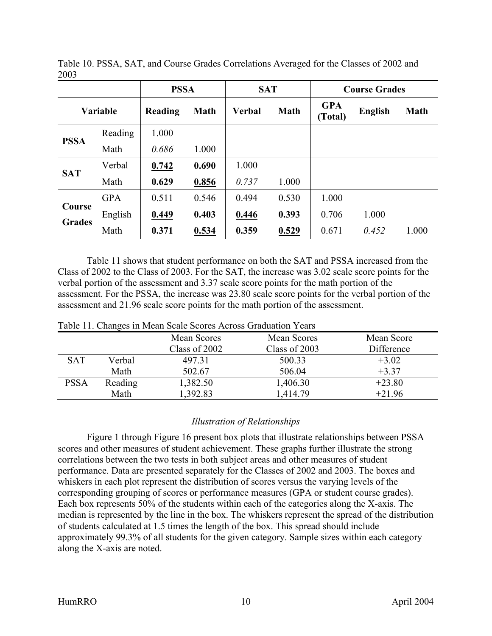|                 |            | <b>PSSA</b> |             | <b>SAT</b>            |       |                       | <b>Course Grades</b> |             |
|-----------------|------------|-------------|-------------|-----------------------|-------|-----------------------|----------------------|-------------|
| <b>Variable</b> |            | Reading     | <b>Math</b> | Verbal<br><b>Math</b> |       | <b>GPA</b><br>(Total) | <b>English</b>       | <b>Math</b> |
|                 | Reading    | 1.000       |             |                       |       |                       |                      |             |
| <b>PSSA</b>     | Math       | 0.686       | 1.000       |                       |       |                       |                      |             |
| <b>SAT</b>      | Verbal     | 0.742       | 0.690       | 1.000                 |       |                       |                      |             |
|                 | Math       | 0.629       | 0.856       | 0.737                 | 1.000 |                       |                      |             |
|                 | <b>GPA</b> | 0.511       | 0.546       | 0.494                 | 0.530 | 1.000                 |                      |             |
| <b>Course</b>   | English    | 0.449       | 0.403       | 0.446                 | 0.393 | 0.706                 | 1.000                |             |
| <b>Grades</b>   | Math       | 0.371       | 0.534       | 0.359                 | 0.529 | 0.671                 | 0.452                | 1.000       |

2003 Table 10. PSSA, SAT, and Course Grades Correlations Averaged for the Classes of 2002 and

Table 11 shows that student performance on both the SAT and PSSA increased from the Class of 2002 to the Class of 2003. For the SAT, the increase was 3.02 scale score points for the verbal portion of the assessment and 3.37 scale score points for the math portion of the assessment. For the PSSA, the increase was 23.80 scale score points for the verbal portion of the assessment and 21.96 scale score points for the math portion of the assessment.

|             |         | Mean Scores   | Mean Scores   | Mean Score |
|-------------|---------|---------------|---------------|------------|
|             |         | Class of 2002 | Class of 2003 | Difference |
| <b>SAT</b>  | Verbal  | 497.31        | 500.33        | $+3.02$    |
|             | Math    | 502.67        | 506.04        | $+3.37$    |
| <b>PSSA</b> | Reading | 1,382.50      | 1,406.30      | $+23.80$   |
|             | Math    | 1,392.83      | 1,414.79      | $+21.96$   |

| Table 11. Changes in Mean Scale Scores Across Graduation Years |  |
|----------------------------------------------------------------|--|
|----------------------------------------------------------------|--|

## *Illustration of Relationships*

Figure 1 through Figure 16 present box plots that illustrate relationships between PSSA scores and other measures of student achievement. These graphs further illustrate the strong correlations between the two tests in both subject areas and other measures of student performance. Data are presented separately for the Classes of 2002 and 2003. The boxes and whiskers in each plot represent the distribution of scores versus the varying levels of the corresponding grouping of scores or performance measures (GPA or student course grades). Each box represents 50% of the students within each of the categories along the X-axis. The median is represented by the line in the box. The whiskers represent the spread of the distribution of students calculated at 1.5 times the length of the box. This spread should include approximately 99.3% of all students for the given category. Sample sizes within each category along the X-axis are noted.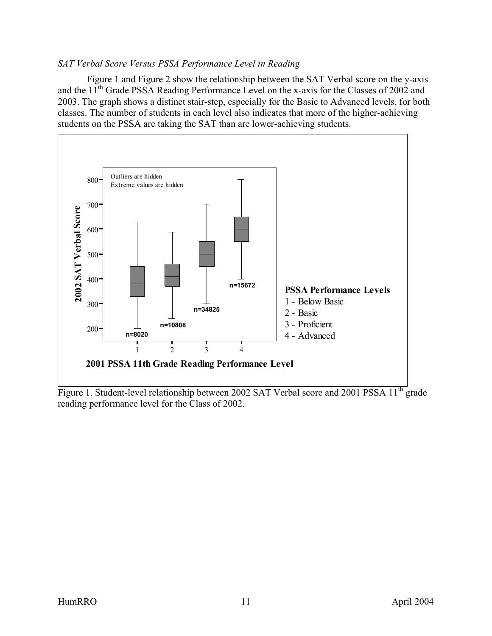## <span id="page-18-0"></span>*SAT Verbal Score Versus PSSA Performance Level in Reading*

Figure 1 and Figure 2 show the relationship between the SAT Verbal score on the y-axis and the 11<sup>th</sup> Grade PSSA Reading Performance Level on the x-axis for the Classes of 2002 and 2003. The graph shows a distinct stair-step, especially for the Basic to Advanced levels, for both classes. The number of students in each level also indicates that more of the higher-achieving students on the PSSA are taking the SAT than are lower-achieving students.



Figure 1. Student-level relationship between 2002 SAT Verbal score and 2001 PSSA 11<sup>th</sup> grade reading performance level for the Class of 2002.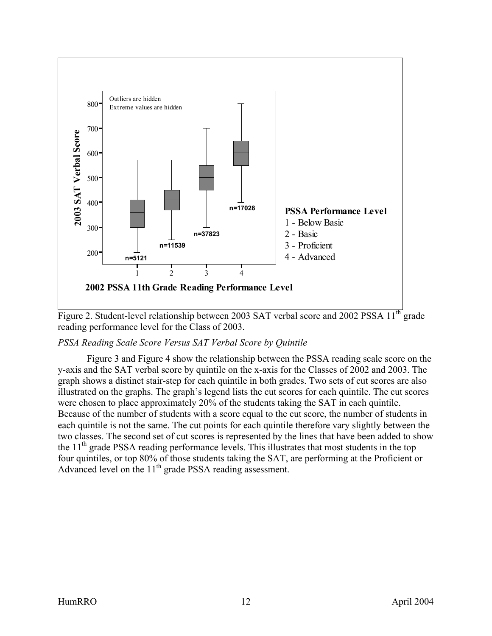<span id="page-19-0"></span>

Figure 2. Student-level relationship between 2003 SAT verbal score and 2002 PSSA  $11^{th}$  grade reading performance level for the Class of 2003.

## *PSSA Reading Scale Score Versus SAT Verbal Score by Quintile*

Figure 3 and Figure 4 show the relationship between the PSSA reading scale score on the y-axis and the SAT verbal score by quintile on the x-axis for the Classes of 2002 and 2003. The graph shows a distinct stair-step for each quintile in both grades. Two sets of cut scores are also illustrated on the graphs. The graph's legend lists the cut scores for each quintile. The cut scores were chosen to place approximately 20% of the students taking the SAT in each quintile. Because of the number of students with a score equal to the cut score, the number of students in each quintile is not the same. The cut points for each quintile therefore vary slightly between the two classes. The second set of cut scores is represented by the lines that have been added to show the  $11<sup>th</sup>$  grade PSSA reading performance levels. This illustrates that most students in the top four quintiles, or top 80% of those students taking the SAT, are performing at the Proficient or Advanced level on the 11<sup>th</sup> grade PSSA reading assessment.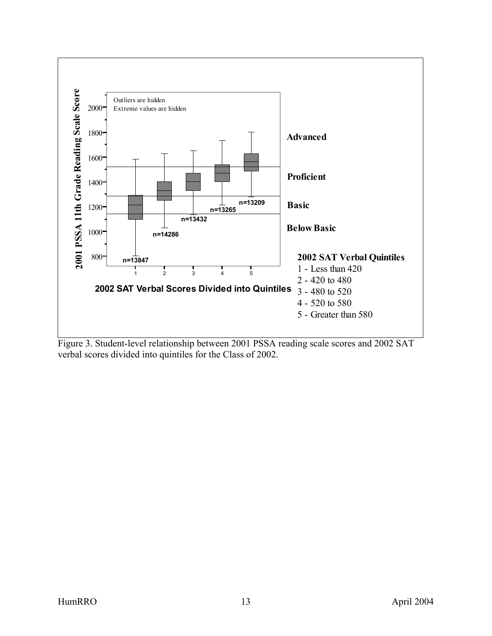<span id="page-20-0"></span>

Figure 3. Student-level relationship between 2001 PSSA reading scale scores and 2002 SAT verbal scores divided into quintiles for the Class of 2002.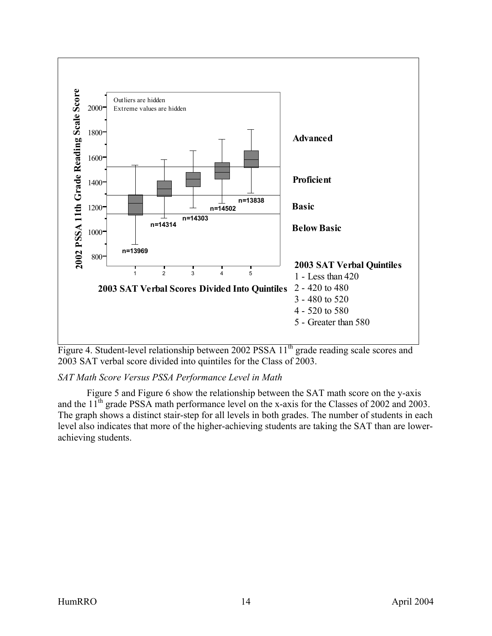<span id="page-21-0"></span>

Figure 4. Student-level relationship between 2002 PSSA 11<sup>th</sup> grade reading scale scores and 2003 SAT verbal score divided into quintiles for the Class of 2003.

*SAT Math Score Versus PSSA Performance Level in Math* 

Figure 5 and Figure 6 show the relationship between the SAT math score on the y-axis and the  $11<sup>th</sup>$  grade PSSA math performance level on the x-axis for the Classes of 2002 and 2003. The graph shows a distinct stair-step for all levels in both grades. The number of students in each level also indicates that more of the higher-achieving students are taking the SAT than are lowerachieving students.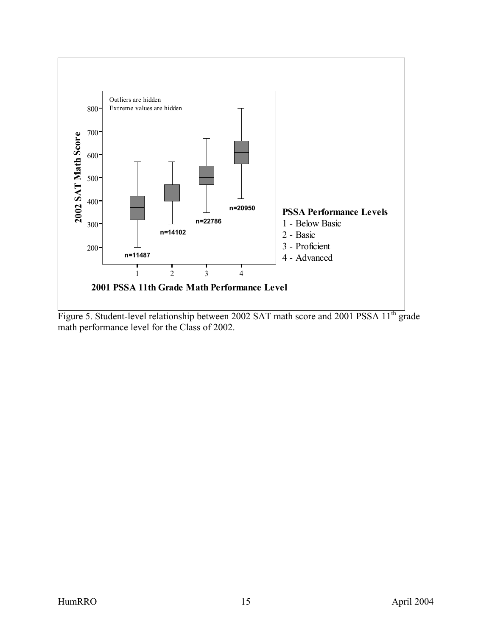

Figure 5. Student-level relationship between 2002 SAT math score and 2001 PSSA 11<sup>th</sup> grade math performance level for the Class of 2002.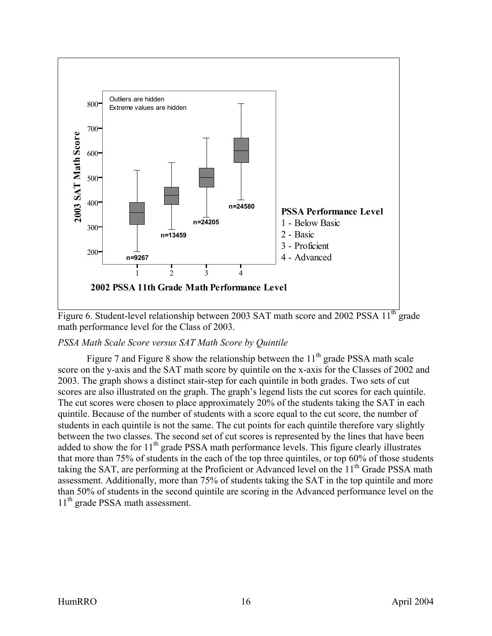<span id="page-23-0"></span>

Figure 6. Student-level relationship between 2003 SAT math score and 2002 PSSA 11<sup>th</sup> grade math performance level for the Class of 2003.

#### *PSSA Math Scale Score versus SAT Math Score by Quintile*

Figure 7 and Figure 8 show the relationship between the  $11<sup>th</sup>$  grade PSSA math scale score on the y-axis and the SAT math score by quintile on the x-axis for the Classes of 2002 and 2003. The graph shows a distinct stair-step for each quintile in both grades. Two sets of cut scores are also illustrated on the graph. The graph's legend lists the cut scores for each quintile. The cut scores were chosen to place approximately 20% of the students taking the SAT in each quintile. Because of the number of students with a score equal to the cut score, the number of students in each quintile is not the same. The cut points for each quintile therefore vary slightly between the two classes. The second set of cut scores is represented by the lines that have been added to show the for  $11<sup>th</sup>$  grade PSSA math performance levels. This figure clearly illustrates that more than 75% of students in the each of the top three quintiles, or top 60% of those students taking the SAT, are performing at the Proficient or Advanced level on the 11<sup>th</sup> Grade PSSA math assessment. Additionally, more than 75% of students taking the SAT in the top quintile and more than 50% of students in the second quintile are scoring in the Advanced performance level on the 11<sup>th</sup> grade PSSA math assessment.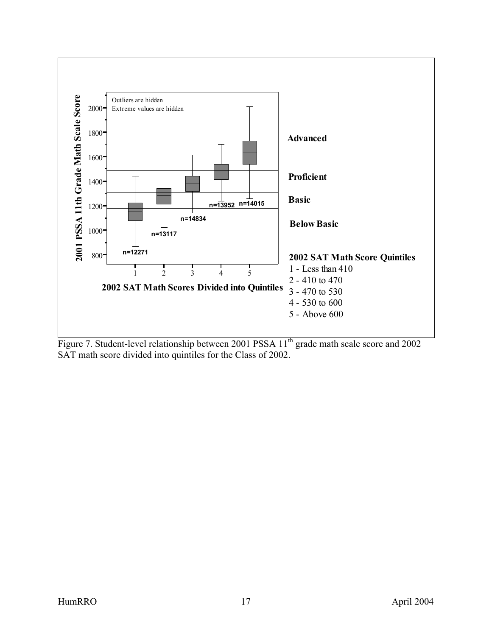

Figure 7. Student-level relationship between 2001 PSSA 11<sup>th</sup> grade math scale score and 2002 SAT math score divided into quintiles for the Class of 2002.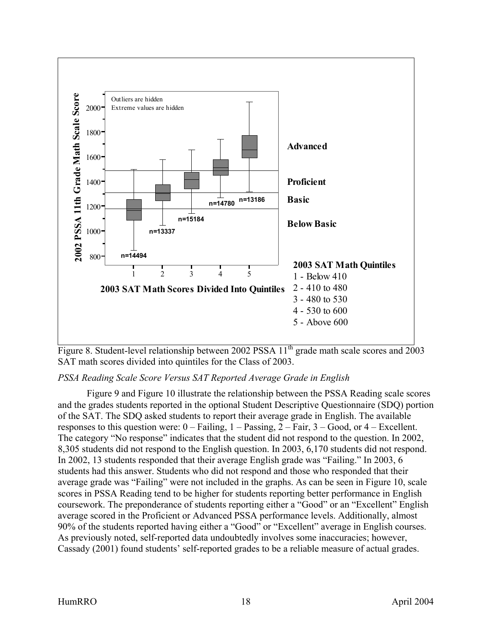<span id="page-25-0"></span>

Figure 8. Student-level relationship between 2002 PSSA  $11<sup>th</sup>$  grade math scale scores and 2003 SAT math scores divided into quintiles for the Class of 2003.

## *PSSA Reading Scale Score Versus SAT Reported Average Grade in English*

Figure 9 and Figure 10 illustrate the relationship between the PSSA Reading scale scores and the grades students reported in the optional Student Descriptive Questionnaire (SDQ) portion of the SAT. The SDQ asked students to report their average grade in English. The available responses to this question were: 0 – Failing, 1 – Passing, 2 – Fair, 3 – Good, or 4 – Excellent. The category "No response" indicates that the student did not respond to the question. In 2002, 8,305 students did not respond to the English question. In 2003, 6,170 students did not respond. In 2002, 13 students responded that their average English grade was "Failing." In 2003, 6 students had this answer. Students who did not respond and those who responded that their average grade was "Failing" were not included in the graphs. As can be seen in Figure 10, scale scores in PSSA Reading tend to be higher for students reporting better performance in English coursework. The preponderance of students reporting either a "Good" or an "Excellent" English average scored in the Proficient or Advanced PSSA performance levels. Additionally, almost 90% of the students reported having either a "Good" or "Excellent" average in English courses. As previously noted, self-reported data undoubtedly involves some inaccuracies; however, Cassady (2001) found students' self-reported grades to be a reliable measure of actual grades.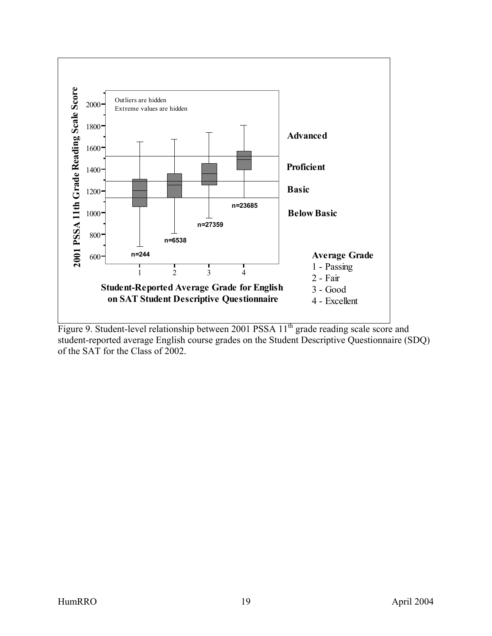<span id="page-26-0"></span>

Figure 9. Student-level relationship between 2001 PSSA 11<sup>th</sup> grade reading scale score and student-reported average English course grades on the Student Descriptive Questionnaire (SDQ) of the SAT for the Class of 2002.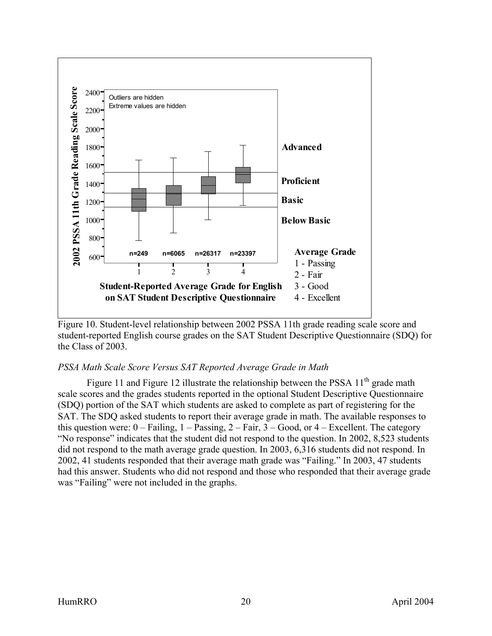<span id="page-27-0"></span>

Figure 10. Student-level relationship between 2002 PSSA 11th grade reading scale score and student-reported English course grades on the SAT Student Descriptive Questionnaire (SDQ) for the Class of 2003.

## *PSSA Math Scale Score Versus SAT Reported Average Grade in Math*

Figure 11 and Figure 12 illustrate the relationship between the PSSA  $11<sup>th</sup>$  grade math scale scores and the grades students reported in the optional Student Descriptive Questionnaire (SDQ) portion of the SAT which students are asked to complete as part of registering for the SAT. The SDQ asked students to report their average grade in math. The available responses to this question were:  $0 - F\text{ailing}, 1 - P\text{assigng}, 2 - F\text{air}, 3 - Good, \text{or } 4 - E\text{xcellent}.$  The category "No response" indicates that the student did not respond to the question. In 2002, 8,523 students did not respond to the math average grade question. In 2003, 6,316 students did not respond. In 2002, 41 students responded that their average math grade was "Failing." In 2003, 47 students had this answer. Students who did not respond and those who responded that their average grade was "Failing" were not included in the graphs.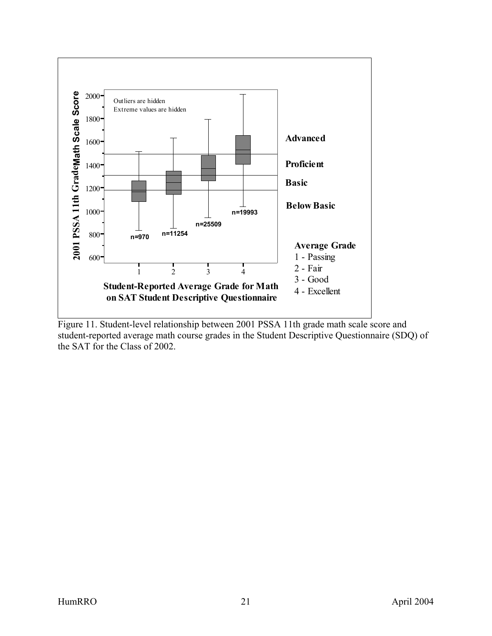<span id="page-28-0"></span>

Figure 11. Student-level relationship between 2001 PSSA 11th grade math scale score and student-reported average math course grades in the Student Descriptive Questionnaire (SDQ) of the SAT for the Class of 2002.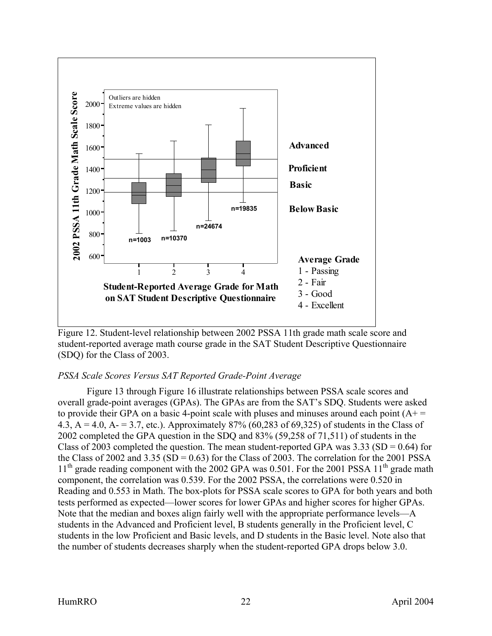<span id="page-29-0"></span>

Figure 12. Student-level relationship between 2002 PSSA 11th grade math scale score and student-reported average math course grade in the SAT Student Descriptive Questionnaire (SDQ) for the Class of 2003.

## *PSSA Scale Scores Versus SAT Reported Grade-Point Average*

Figure 13 through Figure 16 illustrate relationships between PSSA scale scores and overall grade-point averages (GPAs). The GPAs are from the SAT's SDQ. Students were asked to provide their GPA on a basic 4-point scale with pluses and minuses around each point  $(A+$ 4.3,  $A = 4.0$ ,  $A = 3.7$ , etc.). Approximately 87% (60,283 of 69,325) of students in the Class of 2002 completed the GPA question in the SDQ and 83% (59,258 of 71,511) of students in the Class of 2003 completed the question. The mean student-reported GPA was  $3.33$  (SD = 0.64) for the Class of 2002 and 3.35 (SD =  $0.63$ ) for the Class of 2003. The correlation for the 2001 PSSA  $11<sup>th</sup>$  grade reading component with the 2002 GPA was 0.501. For the 2001 PSSA  $11<sup>th</sup>$  grade math component, the correlation was 0.539. For the 2002 PSSA, the correlations were 0.520 in Reading and 0.553 in Math. The box-plots for PSSA scale scores to GPA for both years and both tests performed as expected—lower scores for lower GPAs and higher scores for higher GPAs. Note that the median and boxes align fairly well with the appropriate performance levels—A students in the Advanced and Proficient level, B students generally in the Proficient level, C students in the low Proficient and Basic levels, and D students in the Basic level. Note also that the number of students decreases sharply when the student-reported GPA drops below 3.0.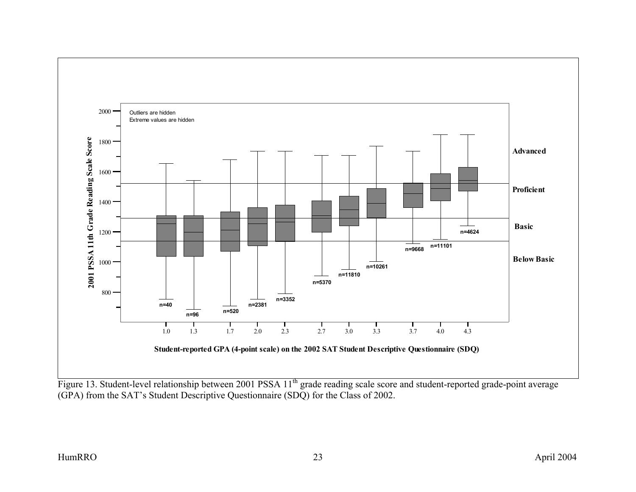

Figure 13. Student-level relationship between 2001 PSSA 11<sup>th</sup> grade reading scale score and student-reported grade-point average (GPA) from the SAT's Student Descriptive Questionnaire (SDQ) for the Class of 2002.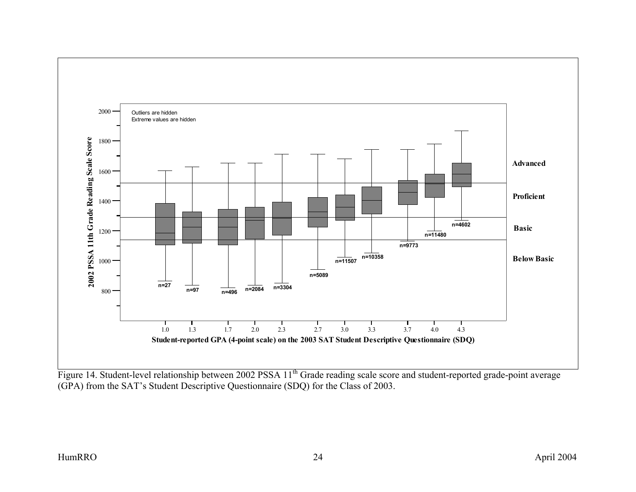

Figure 14. Student-level relationship between 2002 PSSA 11<sup>th</sup> Grade reading scale score and student-reported grade-point average (GPA) from the SAT's Student Descriptive Questionnaire (SDQ) for the Class of 2003.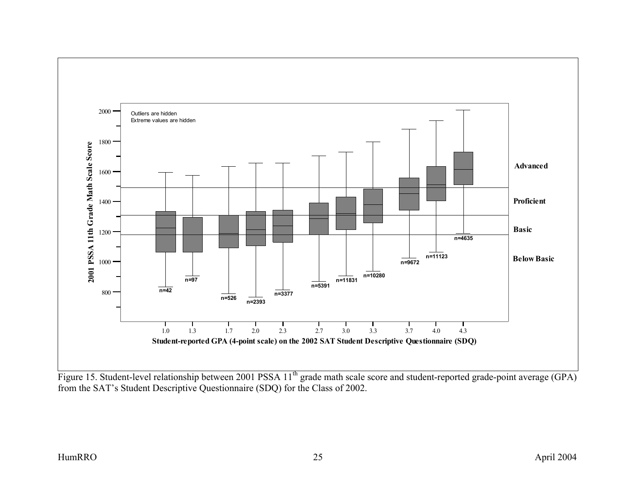

Figure 15. Student-level relationship between 2001 PSSA 11<sup>th</sup> grade math scale score and student-reported grade-point average (GPA) from the SAT's Student Descriptive Questionnaire (SDQ) for the Class of 2002.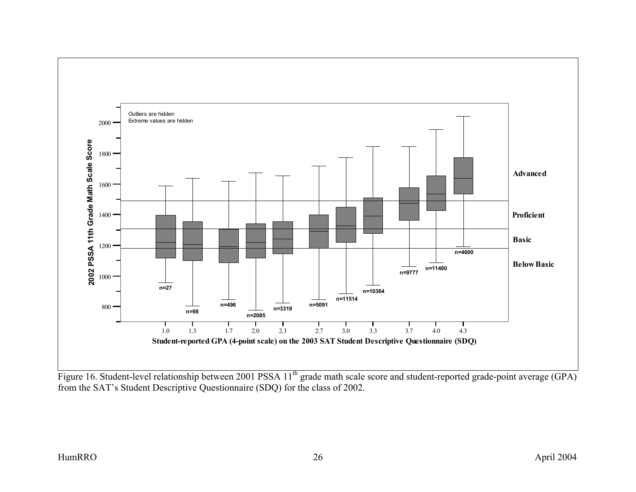

Figure 16. Student-level relationship between 2001 PSSA 11<sup>th</sup> grade math scale score and student-reported grade-point average (GPA) from the SAT's Student Descriptive Questionnaire (SDQ) for the class of 2002.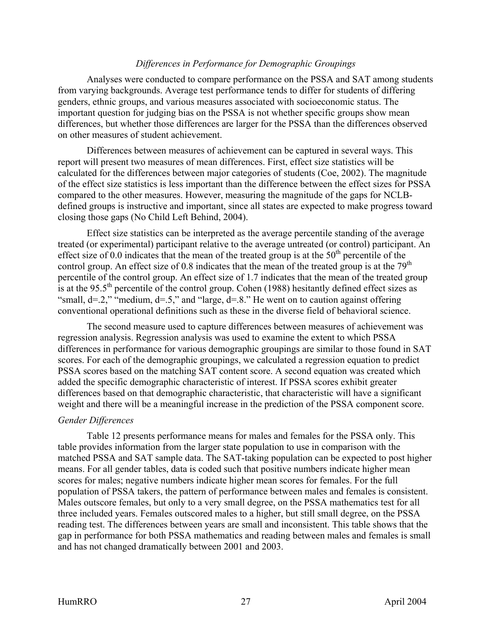#### *Differences in Performance for Demographic Groupings*

<span id="page-34-0"></span>Analyses were conducted to compare performance on the PSSA and SAT among students from varying backgrounds. Average test performance tends to differ for students of differing genders, ethnic groups, and various measures associated with socioeconomic status. The important question for judging bias on the PSSA is not whether specific groups show mean differences, but whether those differences are larger for the PSSA than the differences observed on other measures of student achievement.

Differences between measures of achievement can be captured in several ways. This report will present two measures of mean differences. First, effect size statistics will be calculated for the differences between major categories of students (Coe, 2002). The magnitude of the effect size statistics is less important than the difference between the effect sizes for PSSA compared to the other measures. However, measuring the magnitude of the gaps for NCLBdefined groups is instructive and important, since all states are expected to make progress toward closing those gaps (No Child Left Behind, 2004).

Effect size statistics can be interpreted as the average percentile standing of the average treated (or experimental) participant relative to the average untreated (or control) participant. An effect size of 0.0 indicates that the mean of the treated group is at the  $50<sup>th</sup>$  percentile of the control group. An effect size of 0.8 indicates that the mean of the treated group is at the 79<sup>th</sup> percentile of the control group. An effect size of 1.7 indicates that the mean of the treated group is at the 95.5<sup>th</sup> percentile of the control group. Cohen (1988) hesitantly defined effect sizes as "small,  $d=2$ ," "medium,  $d=5$ ," and "large,  $d=8$ ." He went on to caution against offering conventional operational definitions such as these in the diverse field of behavioral science.

The second measure used to capture differences between measures of achievement was regression analysis. Regression analysis was used to examine the extent to which PSSA differences in performance for various demographic groupings are similar to those found in SAT scores. For each of the demographic groupings, we calculated a regression equation to predict PSSA scores based on the matching SAT content score. A second equation was created which added the specific demographic characteristic of interest. If PSSA scores exhibit greater differences based on that demographic characteristic, that characteristic will have a significant weight and there will be a meaningful increase in the prediction of the PSSA component score.

#### *Gender Differences*

Table 12 presents performance means for males and females for the PSSA only. This table provides information from the larger state population to use in comparison with the matched PSSA and SAT sample data. The SAT-taking population can be expected to post higher means. For all gender tables, data is coded such that positive numbers indicate higher mean scores for males; negative numbers indicate higher mean scores for females. For the full population of PSSA takers, the pattern of performance between males and females is consistent. Males outscore females, but only to a very small degree, on the PSSA mathematics test for all three included years. Females outscored males to a higher, but still small degree, on the PSSA reading test. The differences between years are small and inconsistent. This table shows that the gap in performance for both PSSA mathematics and reading between males and females is small and has not changed dramatically between 2001 and 2003.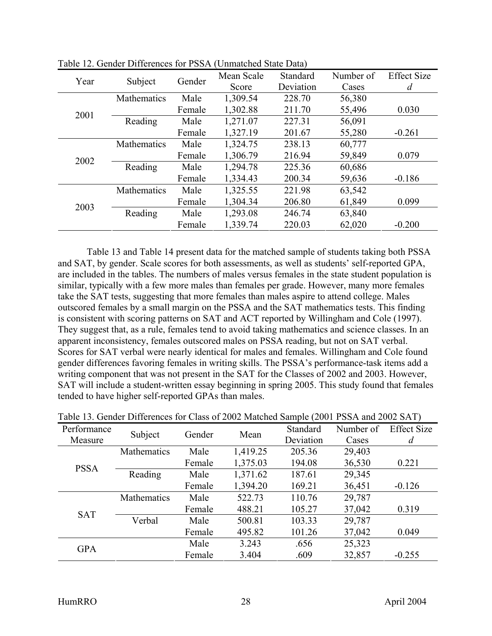| Year |                    | Gender | Mean Scale | Standard  | Number of | <b>Effect Size</b> |
|------|--------------------|--------|------------|-----------|-----------|--------------------|
|      | Subject            |        | Score      | Deviation | Cases     | d                  |
|      | <b>Mathematics</b> | Male   | 1,309.54   | 228.70    | 56,380    |                    |
| 2001 |                    | Female | 1,302.88   | 211.70    | 55,496    | 0.030              |
|      | Reading            | Male   | 1,271.07   | 227.31    | 56,091    |                    |
|      |                    | Female | 1,327.19   | 201.67    | 55,280    | $-0.261$           |
|      | Mathematics        | Male   | 1,324.75   | 238.13    | 60,777    |                    |
|      |                    | Female | 1,306.79   | 216.94    | 59,849    | 0.079              |
|      | Reading            | Male   | 1,294.78   | 225.36    | 60,686    |                    |
| 2002 |                    | Female | 1,334.43   | 200.34    | 59,636    | $-0.186$           |
|      | Mathematics        | Male   | 1,325.55   | 221.98    | 63,542    |                    |
| 2003 |                    | Female | 1,304.34   | 206.80    | 61,849    | 0.099              |
|      | Reading            | Male   | 1,293.08   | 246.74    | 63,840    |                    |
|      |                    | Female | 1,339.74   | 220.03    | 62,020    | $-0.200$           |

Table 12. Gender Differences for PSSA (Unmatched State Data)

Table 13 and Table 14 present data for the matched sample of students taking both PSSA and SAT, by gender. Scale scores for both assessments, as well as students' self-reported GPA, are included in the tables. The numbers of males versus females in the state student population is similar, typically with a few more males than females per grade. However, many more females take the SAT tests, suggesting that more females than males aspire to attend college. Males outscored females by a small margin on the PSSA and the SAT mathematics tests. This finding is consistent with scoring patterns on SAT and ACT reported by Willingham and Cole (1997). They suggest that, as a rule, females tend to avoid taking mathematics and science classes. In an apparent inconsistency, females outscored males on PSSA reading, but not on SAT verbal. Scores for SAT verbal were nearly identical for males and females. Willingham and Cole found gender differences favoring females in writing skills. The PSSA's performance-task items add a writing component that was not present in the SAT for the Classes of 2002 and 2003. However, SAT will include a student-written essay beginning in spring 2005. This study found that females tended to have higher self-reported GPAs than males.

|             | Table 15. Octiden Differences for Class of 2002 materical sample (2001 FSSA and 2002 SAT) |        |          |                 |           |                    |
|-------------|-------------------------------------------------------------------------------------------|--------|----------|-----------------|-----------|--------------------|
| Performance | Subject                                                                                   | Gender | Mean     | <b>Standard</b> | Number of | <b>Effect Size</b> |
| Measure     |                                                                                           |        |          | Deviation       | Cases     | d                  |
| <b>PSSA</b> | Mathematics                                                                               | Male   | 1,419.25 | 205.36          | 29,403    |                    |
|             |                                                                                           | Female | 1,375.03 | 194.08          | 36,530    | 0.221              |
|             | Reading                                                                                   | Male   | 1,371.62 | 187.61          | 29,345    |                    |
|             |                                                                                           | Female | 1,394.20 | 169.21          | 36,451    | $-0.126$           |
|             | Mathematics                                                                               | Male   | 522.73   | 110.76          | 29,787    |                    |
|             |                                                                                           | Female | 488.21   | 105.27          | 37,042    | 0.319              |
| <b>SAT</b>  | Verbal                                                                                    | Male   | 500.81   | 103.33          | 29,787    |                    |
|             |                                                                                           | Female | 495.82   | 101.26          | 37,042    | 0.049              |
| <b>GPA</b>  |                                                                                           | Male   | 3.243    | .656            | 25,323    |                    |
|             |                                                                                           | Female | 3.404    | .609            | 32,857    | $-0.255$           |

|  | Table 13. Gender Differences for Class of 2002 Matched Sample (2001 PSSA and 2002 SAT) |  |  |  |  |  |  |
|--|----------------------------------------------------------------------------------------|--|--|--|--|--|--|
|  |                                                                                        |  |  |  |  |  |  |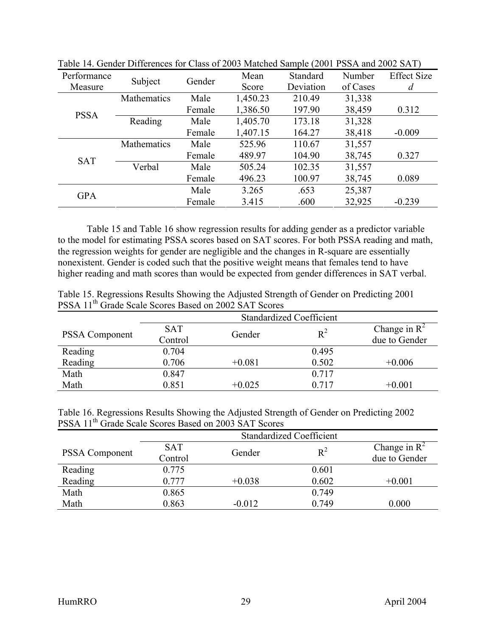| Performance |             |        | Mean     | Standard  | Number   | <b>Effect Size</b> |
|-------------|-------------|--------|----------|-----------|----------|--------------------|
| Measure     | Subject     | Gender | Score    | Deviation | of Cases | $\boldsymbol{d}$   |
|             | Mathematics | Male   | 1,450.23 | 210.49    | 31,338   |                    |
| <b>PSSA</b> |             | Female | 1,386.50 | 197.90    | 38,459   | 0.312              |
|             | Reading     | Male   | 1,405.70 | 173.18    | 31,328   |                    |
|             |             | Female | 1,407.15 | 164.27    | 38,418   | $-0.009$           |
|             | Mathematics | Male   | 525.96   | 110.67    | 31,557   |                    |
| <b>SAT</b>  |             | Female | 489.97   | 104.90    | 38,745   | 0.327              |
|             | Verbal      | Male   | 505.24   | 102.35    | 31,557   |                    |
|             |             | Female | 496.23   | 100.97    | 38,745   | 0.089              |
| <b>GPA</b>  |             | Male   | 3.265    | .653      | 25,387   |                    |
|             |             | Female | 3.415    | .600      | 32,925   | $-0.239$           |

Table 14. Gender Differences for Class of 2003 Matched Sample (2001 PSSA and 2002 SAT)

Table 15 and Table 16 show regression results for adding gender as a predictor variable to the model for estimating PSSA scores based on SAT scores. For both PSSA reading and math, the regression weights for gender are negligible and the changes in R-square are essentially nonexistent. Gender is coded such that the positive weight means that females tend to have higher reading and math scores than would be expected from gender differences in SAT verbal.

| Table 15. Regressions Results Showing the Adjusted Strength of Gender on Predicting 2001 |  |
|------------------------------------------------------------------------------------------|--|
| PSSA 11 <sup>th</sup> Grade Scale Scores Based on 2002 SAT Scores                        |  |

|                       | <b>Standardized Coefficient</b> |          |       |                          |
|-----------------------|---------------------------------|----------|-------|--------------------------|
| <b>PSSA Component</b> | <b>SAT</b>                      | Gender   | $R^2$ | Change in $\mathbb{R}^2$ |
|                       | Control                         |          |       | due to Gender            |
| Reading               | 0.704                           |          | 0.495 |                          |
| Reading               | 0.706                           | $+0.081$ | 0.502 | $+0.006$                 |
| Math                  | 0.847                           |          | 0.717 |                          |
| Math                  | 0.851                           | $+0.025$ | 0.717 | $+0.001$                 |

Table 16. Regressions Results Showing the Adjusted Strength of Gender on Predicting 2002 PSSA 11<sup>th</sup> Grade Scale Scores Based on 2003 SAT Scores

|                       | <b>Standardized Coefficient</b> |          |       |                 |  |
|-----------------------|---------------------------------|----------|-------|-----------------|--|
|                       | <b>SAT</b>                      |          | $R^2$ | Change in $R^2$ |  |
| <b>PSSA Component</b> | Control                         | Gender   |       | due to Gender   |  |
| Reading               | 0.775                           |          | 0.601 |                 |  |
| Reading               | 0.777                           | $+0.038$ | 0.602 | $+0.001$        |  |
| Math                  | 0.865                           |          | 0.749 |                 |  |
| Math                  | 0.863                           | $-0.012$ | 0.749 | 0.000           |  |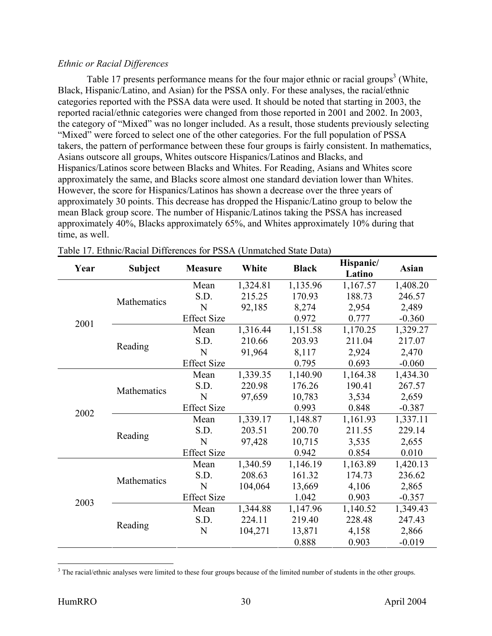#### *Ethnic or Racial Differences*

Table 17 presents performance means for the four major ethnic or racial groups<sup>3</sup> (White, Black, Hispanic/Latino, and Asian) for the PSSA only. For these analyses, the racial/ethnic categories reported with the PSSA data were used. It should be noted that starting in 2003, the reported racial/ethnic categories were changed from those reported in 2001 and 2002. In 2003, the category of "Mixed" was no longer included. As a result, those students previously selecting "Mixed" were forced to select one of the other categories. For the full population of PSSA takers, the pattern of performance between these four groups is fairly consistent. In mathematics, Asians outscore all groups, Whites outscore Hispanics/Latinos and Blacks, and Hispanics/Latinos score between Blacks and Whites. For Reading, Asians and Whites score approximately the same, and Blacks score almost one standard deviation lower than Whites. However, the score for Hispanics/Latinos has shown a decrease over the three years of approximately 30 points. This decrease has dropped the Hispanic/Latino group to below the mean Black group score. The number of Hispanic/Latinos taking the PSSA has increased approximately 40%, Blacks approximately 65%, and Whites approximately 10% during that time, as well.

| Year | <b>Subject</b> | White<br><b>Measure</b> |          | <b>Black</b> | Hispanic/<br>Latino | <b>Asian</b> |
|------|----------------|-------------------------|----------|--------------|---------------------|--------------|
|      |                | Mean                    | 1,324.81 | 1,135.96     | 1,167.57            | 1,408.20     |
|      | Mathematics    | S.D.                    | 215.25   | 170.93       | 188.73              | 246.57       |
|      |                | N                       | 92,185   | 8,274        | 2,954               | 2,489        |
| 2001 |                | <b>Effect Size</b>      |          | 0.972        | 0.777               | $-0.360$     |
|      |                | Mean                    | 1,316.44 | 1,151.58     | 1,170.25            | 1,329.27     |
|      | Reading        | S.D.                    | 210.66   | 203.93       | 211.04              | 217.07       |
|      |                | N                       | 91,964   | 8,117        | 2,924               | 2,470        |
|      |                | <b>Effect Size</b>      |          | 0.795        | 0.693               | $-0.060$     |
|      |                | Mean                    | 1,339.35 | 1,140.90     | 1,164.38            | 1,434.30     |
| 2002 | Mathematics    | S.D.                    | 220.98   | 176.26       | 190.41              | 267.57       |
|      |                | N                       | 97,659   | 10,783       | 3,534               | 2,659        |
|      |                | <b>Effect Size</b>      |          | 0.993        | 0.848               | $-0.387$     |
|      |                | Mean                    | 1,339.17 | 1,148.87     | 1,161.93            | 1,337.11     |
|      | Reading        | S.D.                    | 203.51   | 200.70       | 211.55              | 229.14       |
|      |                | N                       | 97,428   | 10,715       | 3,535               | 2,655        |
|      |                | <b>Effect Size</b>      |          | 0.942        | 0.854               | 0.010        |
|      |                | Mean                    | 1,340.59 | 1,146.19     | 1,163.89            | 1,420.13     |
|      | Mathematics    | S.D.                    | 208.63   | 161.32       | 174.73              | 236.62       |
| 2003 |                | N                       | 104,064  | 13,669       | 4,106               | 2,865        |
|      |                | <b>Effect Size</b>      |          | 1.042        | 0.903               | $-0.357$     |
|      |                | Mean                    | 1,344.88 | 1,147.96     | 1,140.52            | 1,349.43     |
|      | Reading        | S.D.                    | 224.11   | 219.40       | 228.48              | 247.43       |
|      |                | N                       | 104,271  | 13,871       | 4,158               | 2,866        |
|      |                |                         |          | 0.888        | 0.903               | $-0.019$     |

 $\overline{a}$  $3$  The racial/ethnic analyses were limited to these four groups because of the limited number of students in the other groups.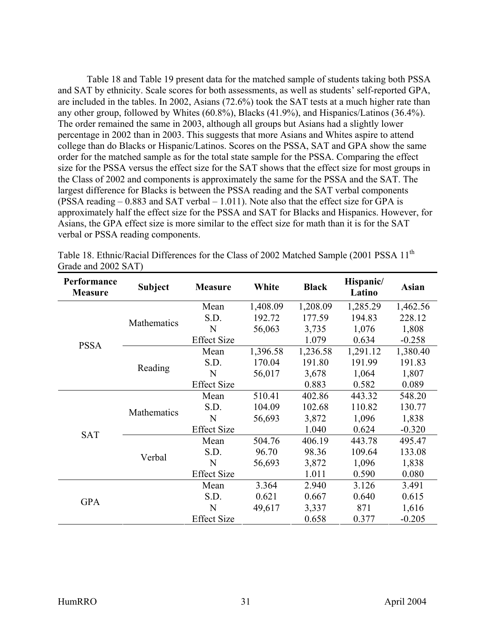Table 18 and Table 19 present data for the matched sample of students taking both PSSA and SAT by ethnicity. Scale scores for both assessments, as well as students' self-reported GPA, are included in the tables. In 2002, Asians (72.6%) took the SAT tests at a much higher rate than any other group, followed by Whites (60.8%), Blacks (41.9%), and Hispanics/Latinos (36.4%). The order remained the same in 2003, although all groups but Asians had a slightly lower percentage in 2002 than in 2003. This suggests that more Asians and Whites aspire to attend college than do Blacks or Hispanic/Latinos. Scores on the PSSA, SAT and GPA show the same order for the matched sample as for the total state sample for the PSSA. Comparing the effect size for the PSSA versus the effect size for the SAT shows that the effect size for most groups in the Class of 2002 and components is approximately the same for the PSSA and the SAT. The largest difference for Blacks is between the PSSA reading and the SAT verbal components (PSSA reading – 0.883 and SAT verbal – 1.011). Note also that the effect size for GPA is approximately half the effect size for the PSSA and SAT for Blacks and Hispanics. However, for Asians, the GPA effect size is more similar to the effect size for math than it is for the SAT verbal or PSSA reading components.

| Performance<br><b>Measure</b> | <b>Subject</b> | <b>Measure</b>     | White    | <b>Black</b> | Hispanic/<br>Latino | <b>Asian</b> |
|-------------------------------|----------------|--------------------|----------|--------------|---------------------|--------------|
|                               |                | Mean               | 1,408.09 | 1,208.09     | 1,285.29            | 1,462.56     |
|                               | Mathematics    | S.D.               | 192.72   | 177.59       | 194.83              | 228.12       |
|                               |                | N                  | 56,063   | 3,735        | 1,076               | 1,808        |
| <b>PSSA</b>                   |                | <b>Effect Size</b> |          | 1.079        | 0.634               | $-0.258$     |
|                               |                | Mean               | 1,396.58 | 1,236.58     | 1,291.12            | 1,380.40     |
|                               | Reading        | S.D.               | 170.04   | 191.80       | 191.99              | 191.83       |
|                               |                | N                  | 56,017   | 3,678        | 1,064               | 1,807        |
|                               |                | <b>Effect Size</b> |          | 0.883        | 0.582               | 0.089        |
| <b>SAT</b>                    | Mathematics    | Mean               | 510.41   | 402.86       | 443.32              | 548.20       |
|                               |                | S.D.               | 104.09   | 102.68       | 110.82              | 130.77       |
|                               |                | N                  | 56,693   | 3,872        | 1,096               | 1,838        |
|                               |                | <b>Effect Size</b> |          | 1.040        | 0.624               | $-0.320$     |
|                               | Verbal         | Mean               | 504.76   | 406.19       | 443.78              | 495.47       |
|                               |                | S.D.               | 96.70    | 98.36        | 109.64              | 133.08       |
|                               |                | N                  | 56,693   | 3,872        | 1,096               | 1,838        |
|                               |                | <b>Effect Size</b> |          | 1.011        | 0.590               | 0.080        |
|                               |                | Mean               | 3.364    | 2.940        | 3.126               | 3.491        |
| <b>GPA</b>                    |                | S.D.               | 0.621    | 0.667        | 0.640               | 0.615        |
|                               |                | N                  | 49,617   | 3,337        | 871                 | 1,616        |
|                               |                | <b>Effect Size</b> |          | 0.658        | 0.377               | $-0.205$     |

Table 18. Ethnic/Racial Differences for the Class of 2002 Matched Sample (2001 PSSA 11<sup>th</sup>) Grade and 2002 SAT)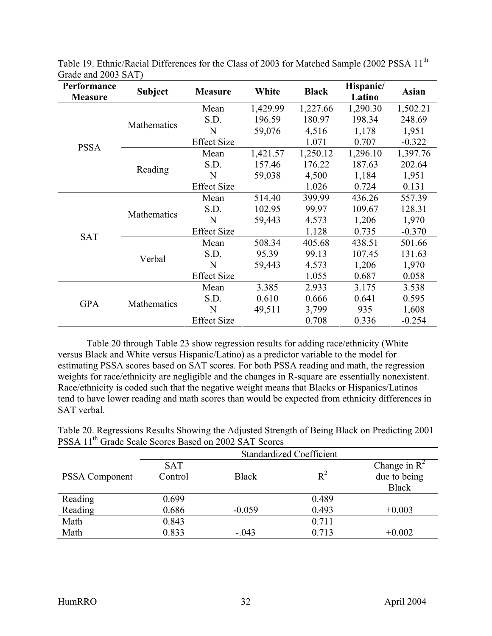| Performance<br><b>Measure</b> | <b>Subject</b> | <b>Measure</b>     | White    | <b>Black</b> | Hispanic/<br>Latino | <b>Asian</b> |
|-------------------------------|----------------|--------------------|----------|--------------|---------------------|--------------|
|                               |                | Mean               | 1,429.99 | 1,227.66     | 1,290.30            | 1,502.21     |
|                               | Mathematics    | S.D.               | 196.59   | 180.97       | 198.34              | 248.69       |
|                               |                | N                  | 59,076   | 4,516        | 1,178               | 1,951        |
| <b>PSSA</b>                   |                | <b>Effect Size</b> |          | 1.071        | 0.707               | $-0.322$     |
|                               |                | Mean               | 1,421.57 | 1,250.12     | 1,296.10            | 1,397.76     |
|                               | Reading        | S.D.               | 157.46   | 176.22       | 187.63              | 202.64       |
|                               |                | N                  | 59,038   | 4,500        | 1,184               | 1,951        |
|                               |                | <b>Effect Size</b> |          | 1.026        | 0.724               | 0.131        |
|                               | Mathematics    | Mean               | 514.40   | 399.99       | 436.26              | 557.39       |
|                               |                | S.D.               | 102.95   | 99.97        | 109.67              | 128.31       |
|                               |                | N                  | 59,443   | 4,573        | 1,206               | 1,970        |
| <b>SAT</b>                    |                | <b>Effect Size</b> |          | 1.128        | 0.735               | $-0.370$     |
|                               |                | Mean               | 508.34   | 405.68       | 438.51              | 501.66       |
|                               | Verbal         | S.D.               | 95.39    | 99.13        | 107.45              | 131.63       |
|                               |                | N                  | 59,443   | 4,573        | 1,206               | 1,970        |
|                               |                | <b>Effect Size</b> |          | 1.055        | 0.687               | 0.058        |
|                               |                | Mean               | 3.385    | 2.933        | 3.175               | 3.538        |
| <b>GPA</b>                    | Mathematics    | S.D.               | 0.610    | 0.666        | 0.641               | 0.595        |
|                               |                | N                  | 49,511   | 3,799        | 935                 | 1,608        |
|                               |                | <b>Effect Size</b> |          | 0.708        | 0.336               | $-0.254$     |

Table 19. Ethnic/Racial Differences for the Class of 2003 for Matched Sample (2002 PSSA 11<sup>th</sup> Grade and 2003 SAT)

Table 20 through Table 23 show regression results for adding race/ethnicity (White versus Black and White versus Hispanic/Latino) as a predictor variable to the model for estimating PSSA scores based on SAT scores. For both PSSA reading and math, the regression weights for race/ethnicity are negligible and the changes in R-square are essentially nonexistent. Race/ethnicity is coded such that the negative weight means that Blacks or Hispanics/Latinos tend to have lower reading and math scores than would be expected from ethnicity differences in SAT verbal.

Table 20. Regressions Results Showing the Adjusted Strength of Being Black on Predicting 2001 PSSA 11<sup>th</sup> Grade Scale Scores Based on 2002 SAT Scores

|                | <b>Standardized Coefficient</b> |              |       |                 |  |
|----------------|---------------------------------|--------------|-------|-----------------|--|
|                | <b>SAT</b>                      |              |       | Change in $R^2$ |  |
| PSSA Component | Control                         | <b>Black</b> | $R^2$ | due to being    |  |
|                |                                 |              |       | <b>Black</b>    |  |
| Reading        | 0.699                           |              | 0.489 |                 |  |
| Reading        | 0.686                           | $-0.059$     | 0.493 | $+0.003$        |  |
| Math           | 0.843                           |              | 0.711 |                 |  |
| Math           | 0.833                           | $-.043$      | 0.713 | $+0.002$        |  |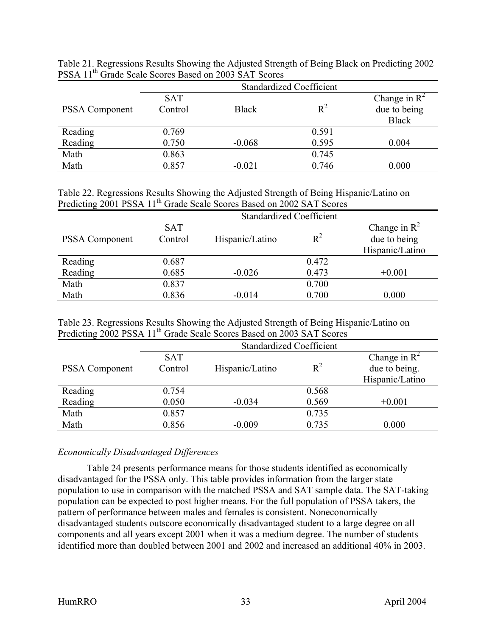Table 21. Regressions Results Showing the Adjusted Strength of Being Black on Predicting 2002 PSSA 11<sup>th</sup> Grade Scale Scores Based on 2003 SAT Scores

|                       | <b>Standardized Coefficient</b> |              |       |                 |  |
|-----------------------|---------------------------------|--------------|-------|-----------------|--|
|                       | <b>SAT</b>                      |              |       | Change in $R^2$ |  |
| <b>PSSA Component</b> | Control                         | <b>Black</b> | $R^2$ | due to being    |  |
|                       |                                 |              |       | <b>Black</b>    |  |
| Reading               | 0.769                           |              | 0.591 |                 |  |
| Reading               | 0.750                           | $-0.068$     | 0.595 | 0.004           |  |
| Math                  | 0.863                           |              | 0.745 |                 |  |
| Math                  | 0.857                           | $-0.021$     | 0.746 | 0.000           |  |

Table 22. Regressions Results Showing the Adjusted Strength of Being Hispanic/Latino on Predicting 2001 PSSA 11<sup>th</sup> Grade Scale Scores Based on 2002 SAT Scores

|                       |            | <b>Standardized Coefficient</b> |       |                 |  |  |
|-----------------------|------------|---------------------------------|-------|-----------------|--|--|
|                       | <b>SAT</b> |                                 |       | Change in $R^2$ |  |  |
| <b>PSSA Component</b> | Control    | Hispanic/Latino                 | $R^2$ | due to being    |  |  |
|                       |            |                                 |       | Hispanic/Latino |  |  |
| Reading               | 0.687      |                                 | 0.472 |                 |  |  |
| Reading               | 0.685      | $-0.026$                        | 0.473 | $+0.001$        |  |  |
| Math                  | 0.837      |                                 | 0.700 |                 |  |  |
| Math                  | 0.836      | $-0.014$                        | 0.700 | 0.000           |  |  |

Table 23. Regressions Results Showing the Adjusted Strength of Being Hispanic/Latino on Predicting 2002 PSSA 11th Grade Scale Scores Based on 2003 SAT Scores

|                       | <b>Standardized Coefficient</b> |                 |       |                          |  |
|-----------------------|---------------------------------|-----------------|-------|--------------------------|--|
|                       | <b>SAT</b>                      |                 |       | Change in $\mathbb{R}^2$ |  |
| <b>PSSA Component</b> | Control                         | Hispanic/Latino | $R^2$ | due to being.            |  |
|                       |                                 |                 |       | Hispanic/Latino          |  |
| Reading               | 0.754                           |                 | 0.568 |                          |  |
| Reading               | 0.050                           | $-0.034$        | 0.569 | $+0.001$                 |  |
| Math                  | 0.857                           |                 | 0.735 |                          |  |
| Math                  | 0.856                           | $-0.009$        | 0.735 | 0.000                    |  |

#### *Economically Disadvantaged Differences*

Table 24 presents performance means for those students identified as economically disadvantaged for the PSSA only. This table provides information from the larger state population to use in comparison with the matched PSSA and SAT sample data. The SAT-taking population can be expected to post higher means. For the full population of PSSA takers, the pattern of performance between males and females is consistent. Noneconomically disadvantaged students outscore economically disadvantaged student to a large degree on all components and all years except 2001 when it was a medium degree. The number of students identified more than doubled between 2001 and 2002 and increased an additional 40% in 2003.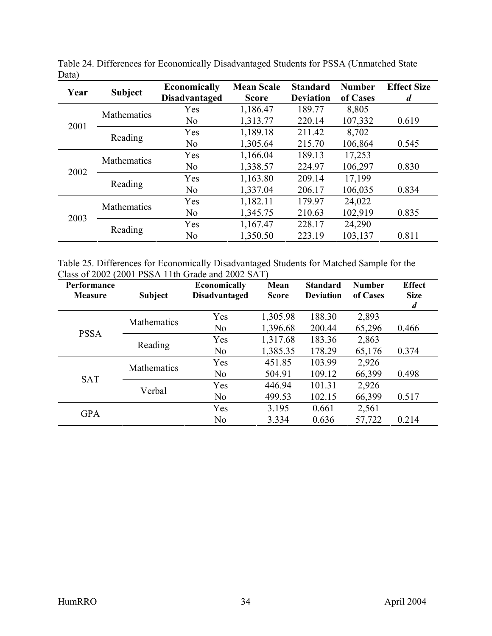| Year | <b>Subject</b>     | <b>Economically</b>  | <b>Mean Scale</b> | <b>Standard</b>  | <b>Number</b> | <b>Effect Size</b> |
|------|--------------------|----------------------|-------------------|------------------|---------------|--------------------|
|      |                    | <b>Disadvantaged</b> | <b>Score</b>      | <b>Deviation</b> | of Cases      | d                  |
|      | <b>Mathematics</b> | Yes                  | 1,186.47          | 189.77           | 8,805         |                    |
| 2001 |                    | N <sub>o</sub>       | 1,313.77          | 220.14           | 107,332       | 0.619              |
|      |                    | Yes                  | 1,189.18          | 211.42           | 8,702         |                    |
|      | Reading            | N <sub>o</sub>       | 1,305.64          | 215.70           | 106,864       | 0.545              |
|      | Mathematics        | Yes                  | 1,166.04          | 189.13           | 17,253        |                    |
| 2002 |                    | N <sub>0</sub>       | 1,338.57          | 224.97           | 106,297       | 0.830              |
|      |                    | Yes                  | 1,163.80          | 209.14           | 17,199        |                    |
|      | Reading            | N <sub>o</sub>       | 1,337.04          | 206.17           | 106,035       | 0.834              |
|      | <b>Mathematics</b> | Yes                  | 1,182.11          | 179.97           | 24,022        |                    |
| 2003 |                    | N <sub>o</sub>       | 1,345.75          | 210.63           | 102,919       | 0.835              |
|      |                    | Yes                  | 1,167.47          | 228.17           | 24,290        |                    |
|      | Reading            | N <sub>o</sub>       | 1,350.50          | 223.19           | 103,137       | 0.811              |

Table 24. Differences for Economically Disadvantaged Students for PSSA (Unmatched State Data)

| Table 25. Differences for Economically Disadvantaged Students for Matched Sample for the |  |
|------------------------------------------------------------------------------------------|--|
| Class of $2002$ (2001 PSSA 11th Grade and $2002$ SAT)                                    |  |

| <b>Performance</b><br><b>Measure</b> | <b>Subject</b>     | <b>Economically</b><br><b>Disadvantaged</b> | Mean<br><b>Score</b> | <b>Standard</b><br><b>Deviation</b> | <b>Number</b><br>of Cases | <b>Effect</b><br><b>Size</b><br>$\boldsymbol{d}$ |
|--------------------------------------|--------------------|---------------------------------------------|----------------------|-------------------------------------|---------------------------|--------------------------------------------------|
|                                      | <b>Mathematics</b> | Yes                                         | 1,305.98             | 188.30                              | 2,893                     |                                                  |
| <b>PSSA</b>                          |                    | N <sub>o</sub>                              | 1,396.68             | 200.44                              | 65,296                    | 0.466                                            |
|                                      | Reading            | Yes                                         | 1,317.68             | 183.36                              | 2,863                     |                                                  |
|                                      |                    | N <sub>o</sub>                              | 1,385.35             | 178.29                              | 65,176                    | 0.374                                            |
|                                      | <b>Mathematics</b> | Yes                                         | 451.85               | 103.99                              | 2,926                     |                                                  |
| <b>SAT</b>                           |                    | N <sub>o</sub>                              | 504.91               | 109.12                              | 66,399                    | 0.498                                            |
|                                      | Verbal             | Yes                                         | 446.94               | 101.31                              | 2,926                     |                                                  |
|                                      |                    | N <sub>o</sub>                              | 499.53               | 102.15                              | 66,399                    | 0.517                                            |
| <b>GPA</b>                           |                    | Yes                                         | 3.195                | 0.661                               | 2,561                     |                                                  |
|                                      |                    | N <sub>o</sub>                              | 3.334                | 0.636                               | 57,722                    | 0.214                                            |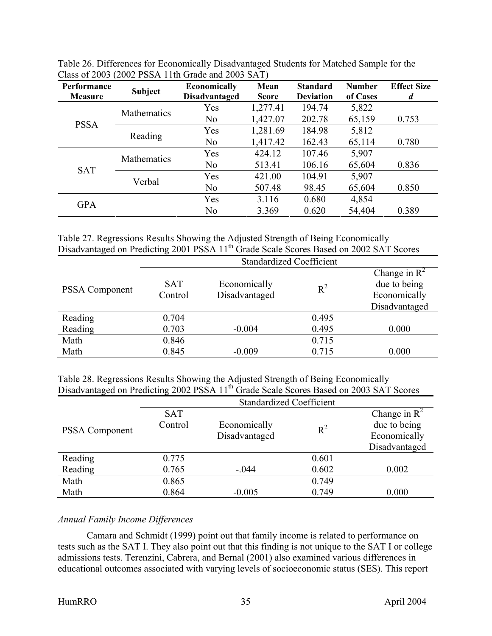| Performance<br><b>Measure</b> | <b>Subject</b> | <b>Economically</b><br><b>Disadvantaged</b> | Mean<br><b>Score</b> | <b>Standard</b><br><b>Deviation</b> | <b>Number</b><br>of Cases | <b>Effect Size</b><br>d |
|-------------------------------|----------------|---------------------------------------------|----------------------|-------------------------------------|---------------------------|-------------------------|
|                               |                | Yes                                         | 1,277.41             | 194.74                              | 5,822                     |                         |
|                               | Mathematics    | N <sub>o</sub>                              | 1,427.07             | 202.78                              | 65,159                    | 0.753                   |
| <b>PSSA</b>                   | Reading        | Yes                                         | 1,281.69             | 184.98                              | 5,812                     |                         |
|                               |                | N <sub>o</sub>                              | 1,417.42             | 162.43                              | 65,114                    | 0.780                   |
|                               | Mathematics    | Yes                                         | 424.12               | 107.46                              | 5,907                     |                         |
| <b>SAT</b>                    |                | N <sub>o</sub>                              | 513.41               | 106.16                              | 65,604                    | 0.836                   |
|                               | Verbal         | Yes                                         | 421.00               | 104.91                              | 5,907                     |                         |
|                               |                | N <sub>0</sub>                              | 507.48               | 98.45                               | 65,604                    | 0.850                   |
| <b>GPA</b>                    |                | Yes                                         | 3.116                | 0.680                               | 4,854                     |                         |
|                               |                | N <sub>0</sub>                              | 3.369                | 0.620                               | 54,404                    | 0.389                   |

Table 26. Differences for Economically Disadvantaged Students for Matched Sample for the Class of 2003 (2002 PSSA 11th Grade and 2003 SAT)

Table 27. Regressions Results Showing the Adjusted Strength of Being Economically Disadvantaged on Predicting 2001 PSSA 11<sup>th</sup> Grade Scale Scores Based on 2002 SAT Scores

|                       | <b>Standardized Coefficient</b> |                               |       |                                                                           |  |  |  |  |
|-----------------------|---------------------------------|-------------------------------|-------|---------------------------------------------------------------------------|--|--|--|--|
| <b>PSSA Component</b> | <b>SAT</b><br>Control           | Economically<br>Disadvantaged | $R^2$ | Change in $\mathbb{R}^2$<br>due to being<br>Economically<br>Disadvantaged |  |  |  |  |
| Reading               | 0.704                           |                               | 0.495 |                                                                           |  |  |  |  |
| Reading               | 0.703                           | $-0.004$                      | 0.495 | 0.000                                                                     |  |  |  |  |
| Math                  | 0.846                           |                               | 0.715 |                                                                           |  |  |  |  |
| Math                  | 0.845                           | $-0.009$                      | 0.715 | 0.000                                                                     |  |  |  |  |

Table 28. Regressions Results Showing the Adjusted Strength of Being Economically Disadvantaged on Predicting 2002 PSSA 11<sup>th</sup> Grade Scale Scores Based on 2003 SAT Scores

|                       | <b>Standardized Coefficient</b> |                               |       |                                                                           |  |  |  |  |
|-----------------------|---------------------------------|-------------------------------|-------|---------------------------------------------------------------------------|--|--|--|--|
| <b>PSSA Component</b> | <b>SAT</b><br>Control           | Economically<br>Disadvantaged | $R^2$ | Change in $\mathbb{R}^2$<br>due to being<br>Economically<br>Disadvantaged |  |  |  |  |
| Reading               | 0.775                           |                               | 0.601 |                                                                           |  |  |  |  |
| Reading               | 0.765                           | $-.044$                       | 0.602 | 0.002                                                                     |  |  |  |  |
| Math                  | 0.865                           |                               | 0.749 |                                                                           |  |  |  |  |
| Math                  | 0.864                           | $-0.005$                      | 0.749 | 0.000                                                                     |  |  |  |  |

## *Annual Family Income Differences*

Camara and Schmidt (1999) point out that family income is related to performance on tests such as the SAT I. They also point out that this finding is not unique to the SAT I or college admissions tests. Terenzini, Cabrera, and Bernal (2001) also examined various differences in educational outcomes associated with varying levels of socioeconomic status (SES). This report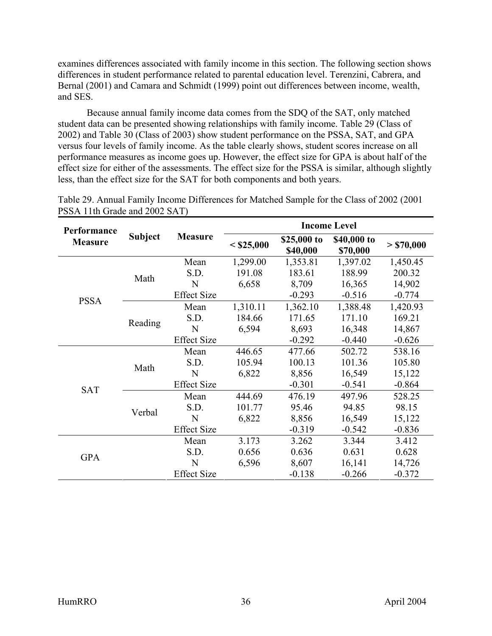examines differences associated with family income in this section. The following section shows differences in student performance related to parental education level. Terenzini, Cabrera, and Bernal (2001) and Camara and Schmidt (1999) point out differences between income, wealth, and SES.

Because annual family income data comes from the SDQ of the SAT, only matched student data can be presented showing relationships with family income. Table 29 (Class of 2002) and Table 30 (Class of 2003) show student performance on the PSSA, SAT, and GPA versus four levels of family income. As the table clearly shows, student scores increase on all performance measures as income goes up. However, the effect size for GPA is about half of the effect size for either of the assessments. The effect size for the PSSA is similar, although slightly less, than the effect size for the SAT for both components and both years.

| Performance    |                |                    |              | <b>Income Level</b>                                                                                                                                                                                                                                                                                                                                                                                                                   |                         |                                                                                                                                                        |  |
|----------------|----------------|--------------------|--------------|---------------------------------------------------------------------------------------------------------------------------------------------------------------------------------------------------------------------------------------------------------------------------------------------------------------------------------------------------------------------------------------------------------------------------------------|-------------------------|--------------------------------------------------------------------------------------------------------------------------------------------------------|--|
| <b>Measure</b> | <b>Subject</b> | <b>Measure</b>     | $<$ \$25,000 | \$25,000 to<br>\$40,000                                                                                                                                                                                                                                                                                                                                                                                                               | \$40,000 to<br>\$70,000 | > \$70,000<br>1,450.45<br>200.32<br>14,902<br>$-0.774$<br>1,420.93<br>169.21<br>14,867<br>$-0.626$<br>538.16<br>105.80<br>15,122<br>$-0.864$<br>528.25 |  |
|                |                | Mean               | 1,299.00     | 1,353.81                                                                                                                                                                                                                                                                                                                                                                                                                              | 1,397.02                |                                                                                                                                                        |  |
|                | Math           | S.D.               | 191.08       | 183.61                                                                                                                                                                                                                                                                                                                                                                                                                                | 188.99                  |                                                                                                                                                        |  |
|                |                | N                  | 6,658        | 8,709                                                                                                                                                                                                                                                                                                                                                                                                                                 | 16,365                  |                                                                                                                                                        |  |
| <b>PSSA</b>    |                | <b>Effect Size</b> |              | $-0.293$<br>$-0.516$<br>1,362.10<br>1,388.48<br>171.65<br>171.10<br>8,693<br>16,348<br>$-0.292$<br>$-0.440$<br>502.72<br>477.66<br>100.13<br>101.36<br>8,856<br>16,549<br>$-0.301$<br>$-0.541$<br>476.19<br>497.96<br>95.46<br>94.85<br>98.15<br>8,856<br>16,549<br>15,122<br>$-0.542$<br>$-0.836$<br>$-0.319$<br>3.262<br>3.344<br>3.412<br>0.636<br>0.631<br>0.628<br>8,607<br>16,141<br>14,726<br>$-0.138$<br>$-0.266$<br>$-0.372$ |                         |                                                                                                                                                        |  |
|                |                | Mean               | 1,310.11     |                                                                                                                                                                                                                                                                                                                                                                                                                                       |                         |                                                                                                                                                        |  |
|                | Reading        | S.D.               | 184.66       |                                                                                                                                                                                                                                                                                                                                                                                                                                       |                         |                                                                                                                                                        |  |
|                |                | $\mathbf N$        | 6,594        |                                                                                                                                                                                                                                                                                                                                                                                                                                       |                         |                                                                                                                                                        |  |
|                |                | <b>Effect Size</b> |              |                                                                                                                                                                                                                                                                                                                                                                                                                                       |                         |                                                                                                                                                        |  |
|                | Math           | Mean               | 446.65       |                                                                                                                                                                                                                                                                                                                                                                                                                                       |                         |                                                                                                                                                        |  |
|                |                | S.D.               | 105.94       |                                                                                                                                                                                                                                                                                                                                                                                                                                       |                         |                                                                                                                                                        |  |
|                |                | N                  | 6,822        |                                                                                                                                                                                                                                                                                                                                                                                                                                       |                         |                                                                                                                                                        |  |
| <b>SAT</b>     |                | <b>Effect Size</b> |              |                                                                                                                                                                                                                                                                                                                                                                                                                                       |                         |                                                                                                                                                        |  |
|                |                | Mean               | 444.69       |                                                                                                                                                                                                                                                                                                                                                                                                                                       |                         |                                                                                                                                                        |  |
|                | Verbal         | S.D.               | 101.77       |                                                                                                                                                                                                                                                                                                                                                                                                                                       |                         |                                                                                                                                                        |  |
|                |                | N                  | 6,822        |                                                                                                                                                                                                                                                                                                                                                                                                                                       |                         |                                                                                                                                                        |  |
|                |                | <b>Effect Size</b> |              |                                                                                                                                                                                                                                                                                                                                                                                                                                       |                         |                                                                                                                                                        |  |
|                |                | Mean               | 3.173        |                                                                                                                                                                                                                                                                                                                                                                                                                                       |                         |                                                                                                                                                        |  |
| <b>GPA</b>     |                | S.D.               | 0.656        |                                                                                                                                                                                                                                                                                                                                                                                                                                       |                         |                                                                                                                                                        |  |
|                |                | N                  | 6,596        |                                                                                                                                                                                                                                                                                                                                                                                                                                       |                         |                                                                                                                                                        |  |
|                |                | <b>Effect Size</b> |              |                                                                                                                                                                                                                                                                                                                                                                                                                                       |                         |                                                                                                                                                        |  |

Table 29. Annual Family Income Differences for Matched Sample for the Class of 2002 (2001 PSSA 11th Grade and 2002 SAT)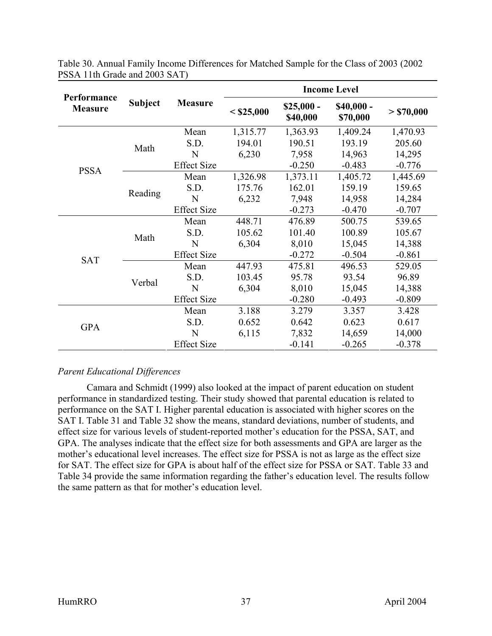|                               |                |                    |              |                                                  | <b>Income Level</b> |            |
|-------------------------------|----------------|--------------------|--------------|--------------------------------------------------|---------------------|------------|
| Performance<br><b>Measure</b> | <b>Subject</b> | <b>Measure</b>     | $<$ \$25,000 | $$25,000-$<br>$$40,000-$<br>\$40,000<br>\$70,000 |                     | > \$70,000 |
|                               |                | Mean               | 1,315.77     | 1,363.93                                         | 1,409.24            | 1,470.93   |
|                               | Math           | S.D.               | 194.01       | 190.51                                           | 193.19              | 205.60     |
|                               |                | N                  | 6,230        | 7,958                                            | 14,963              | 14,295     |
|                               |                | <b>Effect Size</b> |              | $-0.250$                                         | $-0.483$            | $-0.776$   |
| <b>PSSA</b>                   | Reading        | Mean               | 1,326.98     | 1,373.11                                         | 1,405.72            | 1,445.69   |
|                               |                | S.D.               | 175.76       | 162.01                                           | 159.19              | 159.65     |
|                               |                | N                  | 6,232        | 14,958<br>7,948                                  | 14,284              |            |
|                               |                | <b>Effect Size</b> |              | $-0.273$                                         | $-0.470$            | $-0.707$   |
|                               | Math           | Mean               | 448.71       | 476.89                                           | 500.75              | 539.65     |
|                               |                | S.D.               | 105.62       | 101.40                                           | 100.89              | 105.67     |
|                               |                | N                  | 6,304        | 8,010                                            | 15,045              | 14,388     |
| <b>SAT</b>                    |                | <b>Effect Size</b> |              | $-0.272$                                         | $-0.504$            | $-0.861$   |
|                               |                | Mean               | 447.93       | 475.81                                           | 496.53              | 529.05     |
|                               | Verbal         | S.D.               | 103.45       | 95.78                                            | 93.54               | 96.89      |
|                               |                | N                  | 6,304        | 8,010                                            | 15,045              | 14,388     |
|                               |                | <b>Effect Size</b> |              | $-0.280$                                         | $-0.493$            | $-0.809$   |
|                               |                | Mean               | 3.188        | 3.279                                            | 3.357               | 3.428      |
| <b>GPA</b>                    |                | S.D.               | 0.652        | 0.642                                            | 0.623               | 0.617      |
|                               |                | N                  | 6,115        | 7,832                                            | 14,659              | 14,000     |
|                               |                | <b>Effect Size</b> |              | $-0.141$                                         | $-0.265$            | $-0.378$   |

Table 30. Annual Family Income Differences for Matched Sample for the Class of 2003 (2002 PSSA 11th Grade and 2003 SAT)

## *Parent Educational Differences*

Camara and Schmidt (1999) also looked at the impact of parent education on student performance in standardized testing. Their study showed that parental education is related to performance on the SAT I. Higher parental education is associated with higher scores on the SAT I. Table 31 and Table 32 show the means, standard deviations, number of students, and effect size for various levels of student-reported mother's education for the PSSA, SAT, and GPA. The analyses indicate that the effect size for both assessments and GPA are larger as the mother's educational level increases. The effect size for PSSA is not as large as the effect size for SAT. The effect size for GPA is about half of the effect size for PSSA or SAT. Table 33 and Table 34 provide the same information regarding the father's education level. The results follow the same pattern as that for mother's education level.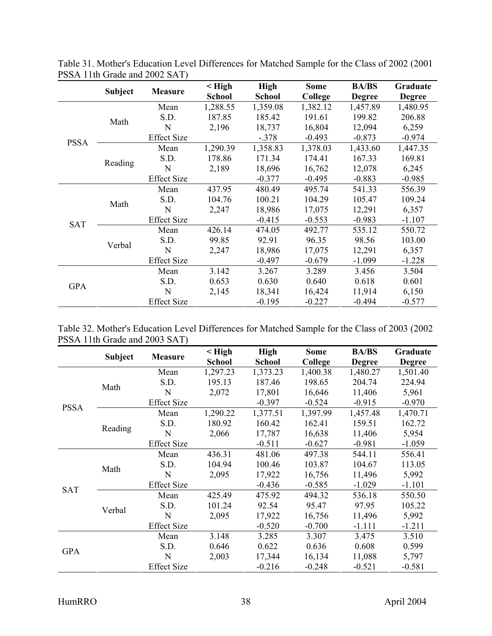|             |                |                    | $\leq$ High   | <b>High</b>   | <b>Some</b> | <b>BA/BS</b>  | Graduate      |
|-------------|----------------|--------------------|---------------|---------------|-------------|---------------|---------------|
|             | <b>Subject</b> | <b>Measure</b>     | <b>School</b> | <b>School</b> | College     | <b>Degree</b> | <b>Degree</b> |
|             |                | Mean               | 1,288.55      | 1,359.08      | 1,382.12    | 1,457.89      | 1,480.95      |
|             | Math           | S.D.               | 187.85        | 185.42        | 191.61      | 199.82        | 206.88        |
|             |                | N                  | 2,196         | 18,737        | 16,804      | 12,094        | 6,259         |
| <b>PSSA</b> |                | <b>Effect Size</b> |               | $-.378$       | $-0.493$    | $-0.873$      | $-0.974$      |
|             |                | Mean               | 1,290.39      | 1,358.83      | 1,378.03    | 1,433.60      | 1,447.35      |
|             |                | S.D.               | 178.86        | 171.34        | 174.41      | 167.33        | 169.81        |
|             | Reading        | N                  | 2,189         | 18,696        | 16,762      | 12,078        | 6,245         |
|             |                | <b>Effect Size</b> |               | $-0.377$      | $-0.495$    | $-0.883$      | $-0.985$      |
|             | Math           | Mean               | 437.95        | 480.49        | 495.74      | 541.33        | 556.39        |
|             |                | S.D.               | 104.76        | 100.21        | 104.29      | 105.47        | 109.24        |
|             |                | N                  | 2,247         | 18,986        | 17,075      | 12,291        | 6,357         |
| <b>SAT</b>  |                | <b>Effect Size</b> |               | $-0.415$      | $-0.553$    | $-0.983$      | $-1.107$      |
|             |                | Mean               | 426.14        | 474.05        | 492.77      | 535.12        | 550.72        |
|             | Verbal         | S.D.               | 99.85         | 92.91         | 96.35       | 98.56         | 103.00        |
|             |                | N                  | 2,247         | 18,986        | 17,075      | 12,291        | 6,357         |
|             |                | <b>Effect Size</b> |               | $-0.497$      | $-0.679$    | $-1.099$      | $-1.228$      |
|             |                | Mean               | 3.142         | 3.267         | 3.289       | 3.456         | 3.504         |
| <b>GPA</b>  |                | S.D.               | 0.653         | 0.630         | 0.640       | 0.618         | 0.601         |
|             |                | N                  | 2,145         | 18,341        | 16,424      | 11,914        | 6,150         |
|             |                | <b>Effect Size</b> |               | $-0.195$      | $-0.227$    | $-0.494$      | $-0.577$      |

Table 31. Mother's Education Level Differences for Matched Sample for the Class of 2002 (2001 PSSA 11th Grade and 2002 SAT)

|                               | Table 32. Mother's Education Level Differences for Matched Sample for the Class of 2003 (2002) |  |  |  |
|-------------------------------|------------------------------------------------------------------------------------------------|--|--|--|
| PSSA 11th Grade and 2003 SAT) |                                                                                                |  |  |  |

|             |                | <b>Measure</b>     | $\leq$ High   | <b>High</b>   | <b>Some</b>    | <b>BA/BS</b>  | Graduate      |
|-------------|----------------|--------------------|---------------|---------------|----------------|---------------|---------------|
|             | <b>Subject</b> |                    | <b>School</b> | <b>School</b> | <b>College</b> | <b>Degree</b> | <b>Degree</b> |
|             |                | Mean               | 1,297.23      | 1,373.23      | 1,400.38       | 1,480.27      | 1,501.40      |
|             | Math           | S.D.               | 195.13        | 187.46        | 198.65         | 204.74        | 224.94        |
|             |                | N                  | 2,072         | 17,801        | 16,646         | 11,406        | 5,961         |
| <b>PSSA</b> |                | <b>Effect Size</b> |               | $-0.397$      | $-0.524$       | $-0.915$      | $-0.970$      |
|             |                | Mean               | 1,290.22      | 1,377.51      | 1,397.99       | 1,457.48      | 1,470.71      |
|             |                | S.D.               | 180.92        | 160.42        | 162.41         | 159.51        | 162.72        |
|             | Reading        | N                  | 2,066         | 17,787        | 16,638         | 11,406        | 5,954         |
|             |                | <b>Effect Size</b> |               | $-0.511$      | $-0.627$       | $-0.981$      | $-1.059$      |
|             | Math           | Mean               | 436.31        | 481.06        | 497.38         | 544.11        | 556.41        |
|             |                | S.D.               | 104.94        | 100.46        | 103.87         | 104.67        | 113.05        |
|             |                | N                  | 2,095         | 17,922        | 16,756         | 11,496        | 5,992         |
| <b>SAT</b>  |                | <b>Effect Size</b> |               | $-0.436$      | $-0.585$       | $-1.029$      | $-1.101$      |
|             |                | Mean               | 425.49        | 475.92        | 494.32         | 536.18        | 550.50        |
|             | Verbal         | S.D.               | 101.24        | 92.54         | 95.47          | 97.95         | 105.22        |
|             |                | N                  | 2,095         | 17,922        | 16,756         | 11,496        | 5,992         |
|             |                | <b>Effect Size</b> |               | $-0.520$      | $-0.700$       | $-1.111$      | $-1.211$      |
|             |                | Mean               | 3.148         | 3.285         | 3.307          | 3.475         | 3.510         |
| <b>GPA</b>  |                | S.D.               | 0.646         | 0.622         | 0.636          | 0.608         | 0.599         |
|             |                | N                  | 2,003         | 17,344        | 16,134         | 11,088        | 5,797         |
|             |                | <b>Effect Size</b> |               | $-0.216$      | $-0.248$       | $-0.521$      | $-0.581$      |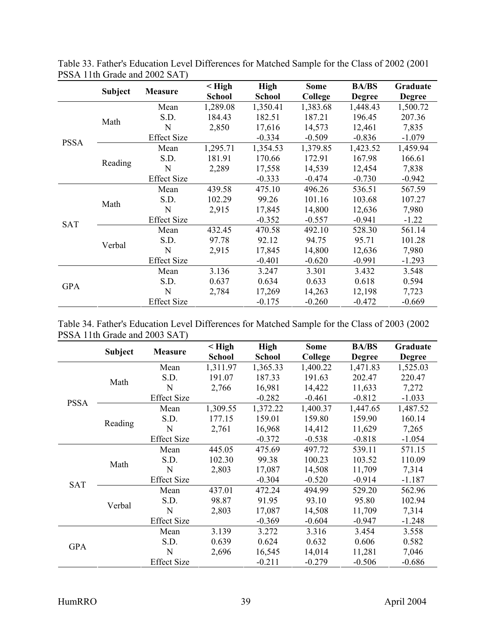|             |                |                    | $\leq$ High   | <b>High</b>   | <b>Some</b> | <b>BA/BS</b>  | Graduate      |
|-------------|----------------|--------------------|---------------|---------------|-------------|---------------|---------------|
|             | <b>Subject</b> | <b>Measure</b>     | <b>School</b> | <b>School</b> | College     | <b>Degree</b> | <b>Degree</b> |
|             |                | Mean               | 1,289.08      | 1,350.41      | 1,383.68    | 1,448.43      | 1,500.72      |
|             | Math           | S.D.               | 184.43        | 182.51        | 187.21      | 196.45        | 207.36        |
|             |                | N                  | 2,850         | 17,616        | 14,573      | 12,461        | 7,835         |
| <b>PSSA</b> |                | <b>Effect Size</b> |               | $-0.334$      | $-0.509$    | $-0.836$      | $-1.079$      |
|             |                | Mean               | 1,295.71      | 1,354.53      | 1,379.85    | 1,423.52      | 1,459.94      |
|             | Reading        | S.D.               | 181.91        | 170.66        | 172.91      | 167.98        | 166.61        |
|             |                | N                  | 2,289         | 17,558        | 14,539      | 12,454        | 7,838         |
|             |                | <b>Effect Size</b> |               | $-0.333$      | $-0.474$    | $-0.730$      | $-0.942$      |
|             | Math           | Mean               | 439.58        | 475.10        | 496.26      | 536.51        | 567.59        |
|             |                | S.D.               | 102.29        | 99.26         | 101.16      | 103.68        | 107.27        |
|             |                | N                  | 2,915         | 17,845        | 14,800      | 12,636        | 7,980         |
| <b>SAT</b>  |                | <b>Effect Size</b> |               | $-0.352$      | $-0.557$    | $-0.941$      | $-1.22$       |
|             |                | Mean               | 432.45        | 470.58        | 492.10      | 528.30        | 561.14        |
|             | Verbal         | S.D.               | 97.78         | 92.12         | 94.75       | 95.71         | 101.28        |
|             |                | N                  | 2,915         | 17,845        | 14,800      | 12,636        | 7,980         |
|             |                | <b>Effect Size</b> |               | $-0.401$      | $-0.620$    | $-0.991$      | $-1.293$      |
|             |                | Mean               | 3.136         | 3.247         | 3.301       | 3.432         | 3.548         |
| <b>GPA</b>  |                | S.D.               | 0.637         | 0.634         | 0.633       | 0.618         | 0.594         |
|             |                | N                  | 2,784         | 17,269        | 14,263      | 12,198        | 7,723         |
|             |                | <b>Effect Size</b> |               | $-0.175$      | $-0.260$    | $-0.472$      | $-0.669$      |

Table 33. Father's Education Level Differences for Matched Sample for the Class of 2002 (2001 PSSA 11th Grade and 2002 SAT)

|  |                               |  |  | Table 34. Father's Education Level Differences for Matched Sample for the Class of 2003 (2002) |  |
|--|-------------------------------|--|--|------------------------------------------------------------------------------------------------|--|
|  | PSSA 11th Grade and 2003 SAT) |  |  |                                                                                                |  |

|             |                |                    | $\leq$ High   | <b>High</b>   | <b>Some</b> | <b>BA/BS</b>  | Graduate      |
|-------------|----------------|--------------------|---------------|---------------|-------------|---------------|---------------|
|             | <b>Subject</b> | <b>Measure</b>     | <b>School</b> | <b>School</b> | College     | <b>Degree</b> | <b>Degree</b> |
|             |                | Mean               | 1,311.97      | 1,365.33      | 1,400.22    | 1,471.83      | 1,525.03      |
|             | Math           | S.D.               | 191.07        | 187.33        | 191.63      | 202.47        | 220.47        |
|             |                | N                  | 2,766         | 16,981        | 14,422      | 11,633        | 7,272         |
| <b>PSSA</b> |                | <b>Effect Size</b> |               | $-0.282$      | $-0.461$    | $-0.812$      | $-1.033$      |
|             |                | Mean               | 1,309.55      | 1,372.22      | 1,400.37    | 1,447.65      | 1,487.52      |
|             | Reading        | S.D.               | 177.15        | 159.01        | 159.80      | 159.90        | 160.14        |
|             |                | N                  | 2,761         | 16,968        | 14,412      | 11,629        | 7,265         |
|             |                | <b>Effect Size</b> |               | $-0.372$      | $-0.538$    | $-0.818$      | $-1.054$      |
|             |                | Mean               | 445.05        | 475.69        | 497.72      | 539.11        | 571.15        |
|             | Math           | S.D.               | 102.30        | 99.38         | 100.23      | 103.52        | 110.09        |
|             |                | N                  | 2,803         | 17,087        | 14,508      | 11,709        | 7,314         |
| <b>SAT</b>  |                | <b>Effect Size</b> |               | $-0.304$      | $-0.520$    | $-0.914$      | $-1.187$      |
|             |                | Mean               | 437.01        | 472.24        | 494.99      | 529.20        | 562.96        |
|             | Verbal         | S.D.               | 98.87         | 91.95         | 93.10       | 95.80         | 102.94        |
|             |                | N                  | 2,803         | 17,087        | 14,508      | 11,709        | 7,314         |
|             |                | <b>Effect Size</b> |               | $-0.369$      | $-0.604$    | $-0.947$      | $-1.248$      |
|             |                | Mean               | 3.139         | 3.272         | 3.316       | 3.454         | 3.558         |
| <b>GPA</b>  |                | S.D.               | 0.639         | 0.624         | 0.632       | 0.606         | 0.582         |
|             |                | N                  | 2,696         | 16,545        | 14,014      | 11,281        | 7,046         |
|             |                | <b>Effect Size</b> |               | $-0.211$      | $-0.279$    | $-0.506$      | $-0.686$      |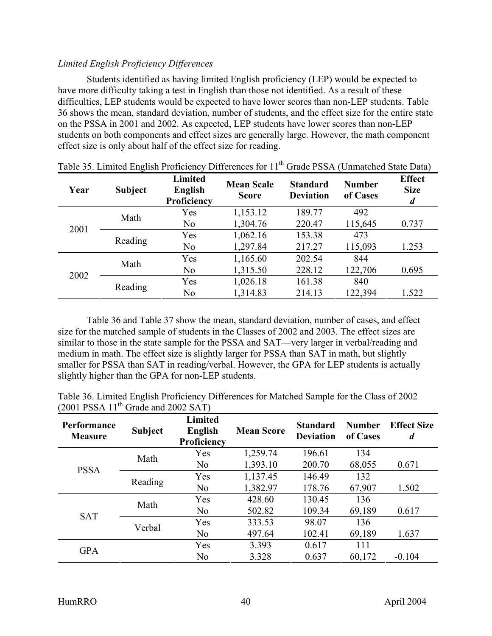## <span id="page-47-0"></span>*Limited English Proficiency Differences*

Students identified as having limited English proficiency (LEP) would be expected to have more difficulty taking a test in English than those not identified. As a result of these difficulties, LEP students would be expected to have lower scores than non-LEP students. Table 36 shows the mean, standard deviation, number of students, and the effect size for the entire state on the PSSA in 2001 and 2002. As expected, LEP students have lower scores than non-LEP students on both components and effect sizes are generally large. However, the math component effect size is only about half of the effect size for reading.

| Year | <b>Subject</b> | <b>Limited</b><br><b>English</b><br>Proficiency | <b>Mean Scale</b><br><b>Score</b> | <b>Standard</b><br><b>Deviation</b> | <b>Number</b><br>of Cases | <b>Effect</b><br><b>Size</b><br>$\boldsymbol{d}$ |
|------|----------------|-------------------------------------------------|-----------------------------------|-------------------------------------|---------------------------|--------------------------------------------------|
|      | Math           | Yes                                             | 1,153.12                          | 189.77                              | 492                       |                                                  |
| 2001 |                | N <sub>0</sub>                                  | 1,304.76                          | 220.47                              | 115,645                   | 0.737                                            |
|      | Reading        | Yes                                             | 1,062.16                          | 153.38                              | 473                       |                                                  |
|      |                | N <sub>o</sub>                                  | 1,297.84                          | 217.27                              | 115,093                   | 1.253                                            |
|      | Math           | Yes                                             | 1,165.60                          | 202.54                              | 844                       |                                                  |
| 2002 |                | N <sub>o</sub>                                  | 1,315.50                          | 228.12                              | 122,706                   | 0.695                                            |
|      |                | Yes                                             | 1,026.18                          | 161.38                              | 840                       |                                                  |
|      | Reading        | N <sub>0</sub>                                  | 1,314.83                          | 214.13                              | 122,394                   | 1.522                                            |

| Table 35. Limited English Proficiency Differences for 11 <sup>th</sup> Grade PSSA (Unmatched State Data) |  |  |
|----------------------------------------------------------------------------------------------------------|--|--|
|                                                                                                          |  |  |

Table 36 and Table 37 show the mean, standard deviation, number of cases, and effect size for the matched sample of students in the Classes of 2002 and 2003. The effect sizes are similar to those in the state sample for the PSSA and SAT—very larger in verbal/reading and medium in math. The effect size is slightly larger for PSSA than SAT in math, but slightly smaller for PSSA than SAT in reading/verbal. However, the GPA for LEP students is actually slightly higher than the GPA for non-LEP students.

|  |                                         |  | Table 36. Limited English Proficiency Differences for Matched Sample for the Class of 2002 |  |
|--|-----------------------------------------|--|--------------------------------------------------------------------------------------------|--|
|  | $(2001$ PSSA $11th$ Grade and 2002 SAT) |  |                                                                                            |  |

| <b>Performance</b><br><b>Measure</b> | <b>Subject</b> | <b>Limited</b><br>English<br>Proficiency | <b>Mean Score</b> | <b>Standard</b><br><b>Deviation</b> | <b>Number</b><br>of Cases | <b>Effect Size</b><br>$\boldsymbol{d}$ |
|--------------------------------------|----------------|------------------------------------------|-------------------|-------------------------------------|---------------------------|----------------------------------------|
|                                      | Math           | Yes                                      | 1,259.74          | 196.61                              | 134                       |                                        |
| <b>PSSA</b>                          |                | N <sub>0</sub>                           | 1,393.10          | 200.70                              | 68,055                    | 0.671                                  |
|                                      | Reading        | Yes                                      | 1,137.45          | 146.49                              | 132                       |                                        |
|                                      |                | N <sub>o</sub>                           | 1,382.97          | 178.76                              | 67,907                    | 1.502                                  |
|                                      | Math           | Yes                                      | 428.60            | 130.45                              | 136                       |                                        |
| <b>SAT</b>                           |                | No                                       | 502.82            | 109.34                              | 69,189                    | 0.617                                  |
|                                      | Verbal         | Yes                                      | 333.53            | 98.07                               | 136                       |                                        |
|                                      |                | N <sub>0</sub>                           | 497.64            | 102.41                              | 69,189                    | 1.637                                  |
|                                      |                | Yes                                      | 3.393             | 0.617                               | 111                       |                                        |
| <b>GPA</b>                           |                | N <sub>0</sub>                           | 3.328             | 0.637                               | 60,172                    | $-0.104$                               |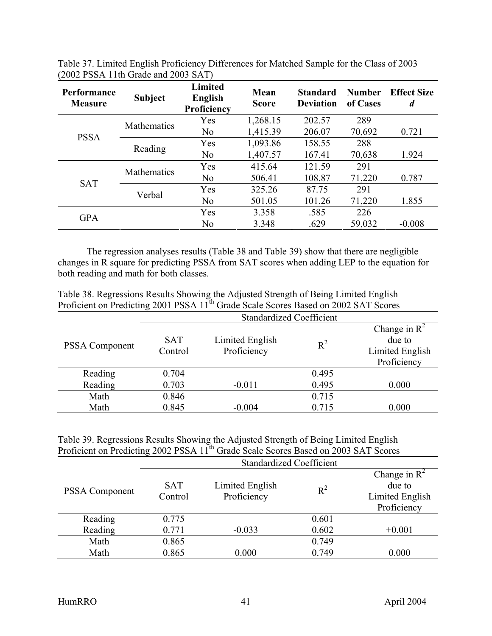| Performance<br><b>Measure</b> | <b>Subject</b>     | <b>Limited</b><br><b>English</b><br>Proficiency | Mean<br><b>Score</b> | <b>Standard</b><br><b>Deviation</b> | <b>Number</b><br>of Cases | <b>Effect Size</b><br>$\boldsymbol{d}$ |
|-------------------------------|--------------------|-------------------------------------------------|----------------------|-------------------------------------|---------------------------|----------------------------------------|
|                               | <b>Mathematics</b> | Yes                                             | 1,268.15             | 202.57                              | 289                       |                                        |
| <b>PSSA</b>                   |                    | N <sub>o</sub>                                  | 1,415.39             | 206.07                              | 70,692                    | 0.721                                  |
|                               | Reading            | Yes                                             | 1,093.86             | 158.55                              | 288                       |                                        |
|                               |                    | N <sub>o</sub>                                  | 1,407.57             | 167.41                              | 70,638                    | 1.924                                  |
|                               | <b>Mathematics</b> | Yes                                             | 415.64               | 121.59                              | 291                       |                                        |
| <b>SAT</b>                    |                    | N <sub>0</sub>                                  | 506.41               | 108.87                              | 71,220                    | 0.787                                  |
|                               |                    | Yes                                             | 325.26               | 87.75                               | 291                       |                                        |
|                               | Verbal             | N <sub>o</sub>                                  | 501.05               | 101.26                              | 71,220                    | 1.855                                  |
|                               |                    | Yes                                             | 3.358                | .585                                | 226                       |                                        |
| <b>GPA</b>                    |                    | No                                              | 3.348                | .629                                | 59,032                    | $-0.008$                               |

Table 37. Limited English Proficiency Differences for Matched Sample for the Class of 2003 (2002 PSSA 11th Grade and 2003 SAT)

The regression analyses results (Table 38 and Table 39) show that there are negligible changes in R square for predicting PSSA from SAT scores when adding LEP to the equation for both reading and math for both classes.

| Table 38. Regressions Results Showing the Adjusted Strength of Being Limited English            |  |
|-------------------------------------------------------------------------------------------------|--|
| Proficient on Predicting 2001 PSSA 11 <sup>th</sup> Grade Scale Scores Based on 2002 SAT Scores |  |

|                       | <b>Standardized Coefficient</b> |                                |       |                                                             |
|-----------------------|---------------------------------|--------------------------------|-------|-------------------------------------------------------------|
| <b>PSSA Component</b> | <b>SAT</b><br>Control           | Limited English<br>Proficiency | $R^2$ | Change in $R^2$<br>due to<br>Limited English<br>Proficiency |
| Reading               | 0.704                           |                                | 0.495 |                                                             |
| Reading               | 0.703                           | $-0.011$                       | 0.495 | 0.000                                                       |
| Math                  | 0.846                           |                                | 0.715 |                                                             |
| Math                  | 0.845                           | $-0.004$                       | 0.715 | 0.000                                                       |

Table 39. Regressions Results Showing the Adjusted Strength of Being Limited English Proficient on Predicting 2002 PSSA 11<sup>th</sup> Grade Scale Scores Based on 2003 SAT Scores

|                       | <b>Standardized Coefficient</b> |                                |       |                                                                      |
|-----------------------|---------------------------------|--------------------------------|-------|----------------------------------------------------------------------|
| <b>PSSA Component</b> | <b>SAT</b><br>Control           | Limited English<br>Proficiency | $R^2$ | Change in $\mathbb{R}^2$<br>due to<br>Limited English<br>Proficiency |
| Reading               | 0.775                           |                                | 0.601 |                                                                      |
| Reading               | 0.771                           | $-0.033$                       | 0.602 | $+0.001$                                                             |
| Math                  | 0.865                           |                                | 0.749 |                                                                      |
| Math                  | 0.865                           | 0.000                          | 0.749 | 0.000                                                                |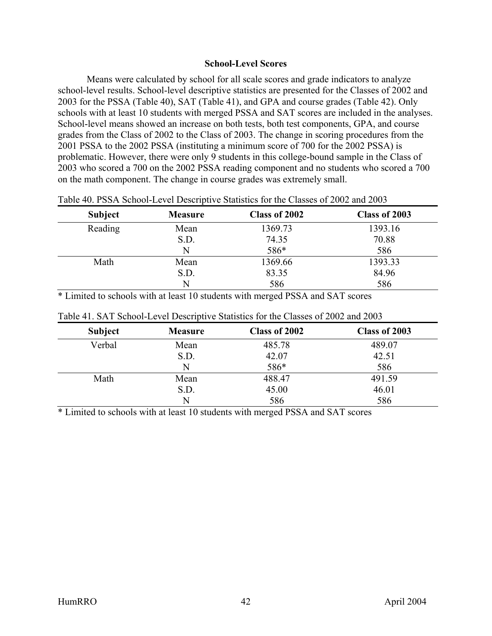### **School-Level Scores**

<span id="page-49-0"></span>Means were calculated by school for all scale scores and grade indicators to analyze school-level results. School-level descriptive statistics are presented for the Classes of 2002 and 2003 for the PSSA (Table 40), SAT (Table 41), and GPA and course grades (Table 42). Only schools with at least 10 students with merged PSSA and SAT scores are included in the analyses. School-level means showed an increase on both tests, both test components, GPA, and course grades from the Class of 2002 to the Class of 2003. The change in scoring procedures from the 2001 PSSA to the 2002 PSSA (instituting a minimum score of 700 for the 2002 PSSA) is problematic. However, there were only 9 students in this college-bound sample in the Class of 2003 who scored a 700 on the 2002 PSSA reading component and no students who scored a 700 on the math component. The change in course grades was extremely small.

| <b>Subject</b> | <b>Measure</b> | Class of 2002 | Class of 2003 |
|----------------|----------------|---------------|---------------|
| Reading        | Mean           | 1369.73       | 1393.16       |
|                | S.D.           | 74.35         | 70.88         |
|                | N              | 586*          | 586           |
| Math           | Mean           | 1369.66       | 1393.33       |
|                | S.D.           | 83.35         | 84.96         |
|                | N              | 586           | 586           |

Table 40. PSSA School-Level Descriptive Statistics for the Classes of 2002 and 2003

\* Limited to schools with at least 10 students with merged PSSA and SAT scores

| <b>Subject</b> | <b>Measure</b> | Class of 2002 | Class of 2003 |
|----------------|----------------|---------------|---------------|
| Verbal         | Mean           | 485.78        | 489.07        |
|                | S.D.           | 42.07         | 42.51         |
|                | N              | 586*          | 586           |
| Math           | Mean           | 488.47        | 491.59        |
|                | S.D.           | 45.00         | 46.01         |
|                | N              | 586           | 586           |

Table 41. SAT School-Level Descriptive Statistics for the Classes of 2002 and 2003

\* Limited to schools with at least 10 students with merged PSSA and SAT scores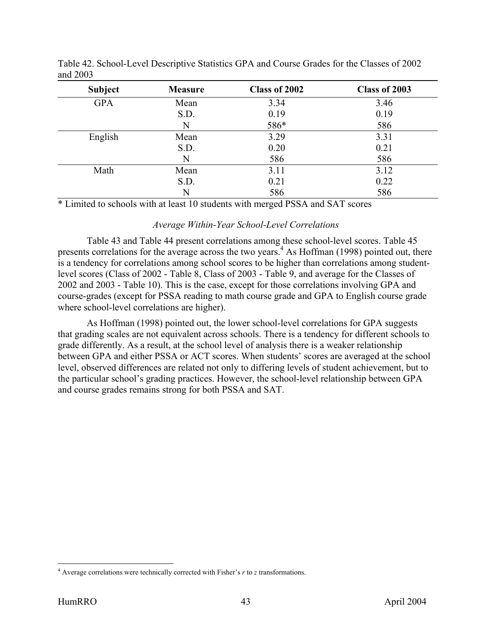| <b>Subject</b> | <b>Measure</b> | Class of 2002 | Class of 2003 |
|----------------|----------------|---------------|---------------|
| <b>GPA</b>     | Mean           | 3.34          | 3.46          |
|                | S.D.           | 0.19          | 0.19          |
|                | N              | 586*          | 586           |
| English        | Mean           | 3.29          | 3.31          |
|                | S.D.           | 0.20          | 0.21          |
|                | N              | 586           | 586           |
| Math           | Mean           | 3.11          | 3.12          |
|                | S.D.           | 0.21          | 0.22          |
|                | N              | 586           | 586           |

Table 42. School-Level Descriptive Statistics GPA and Course Grades for the Classes of 2002 and 2003

### *Average Within-Year School-Level Correlations*

Table 43 and Table 44 present correlations among these school-level scores. Table 45 presents correlations for the average across the two years.<sup>4</sup> As Hoffman (1998) pointed out, there is a tendency for correlations among school scores to be higher than correlations among studentlevel scores (Class of 2002 - Table 8, Class of 2003 - Table 9, and average for the Classes of 2002 and 2003 - Table 10). This is the case, except for those correlations involving GPA and course-grades (except for PSSA reading to math course grade and GPA to English course grade where school-level correlations are higher).

As Hoffman (1998) pointed out, the lower school-level correlations for GPA suggests that grading scales are not equivalent across schools. There is a tendency for different schools to grade differently. As a result, at the school level of analysis there is a weaker relationship between GPA and either PSSA or ACT scores. When students' scores are averaged at the school level, observed differences are related not only to differing levels of student achievement, but to the particular school's grading practices. However, the school-level relationship between GPA and course grades remains strong for both PSSA and SAT.

 4 Average correlations were technically corrected with Fisher's *r* to *z* transformations.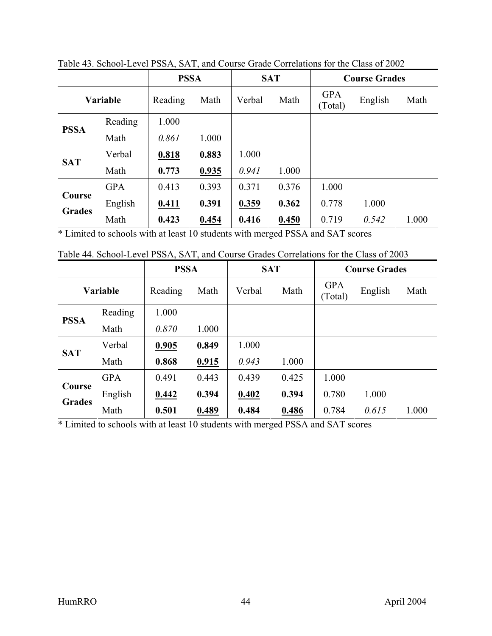|               |            | <b>PSSA</b> |       |        | <b>SAT</b> |                       | <b>Course Grades</b> |       |
|---------------|------------|-------------|-------|--------|------------|-----------------------|----------------------|-------|
| Variable      |            | Reading     | Math  | Verbal | Math       | <b>GPA</b><br>(Total) | English              | Math  |
| <b>PSSA</b>   | Reading    | 1.000       |       |        |            |                       |                      |       |
|               | Math       | 0.861       | 1.000 |        |            |                       |                      |       |
| <b>SAT</b>    | Verbal     | 0.818       | 0.883 | 1.000  |            |                       |                      |       |
|               | Math       | 0.773       | 0.935 | 0.941  | 1.000      |                       |                      |       |
|               | <b>GPA</b> | 0.413       | 0.393 | 0.371  | 0.376      | 1.000                 |                      |       |
| Course        | English    | 0.411       | 0.391 | 0.359  | 0.362      | 0.778                 | 1.000                |       |
| <b>Grades</b> | Math       | 0.423       | 0.454 | 0.416  | 0.450      | 0.719                 | 0.542                | 1.000 |

Table 43. School-Level PSSA, SAT, and Course Grade Correlations for the Class of 2002

Table 44. School-Level PSSA, SAT, and Course Grades Correlations for the Class of 2003

|               |                 | <b>PSSA</b> |       |        | <b>SAT</b> |                       | <b>Course Grades</b> |       |
|---------------|-----------------|-------------|-------|--------|------------|-----------------------|----------------------|-------|
|               | <b>Variable</b> | Reading     | Math  | Verbal | Math       | <b>GPA</b><br>(Total) | English              | Math  |
|               | Reading         | 1.000       |       |        |            |                       |                      |       |
| <b>PSSA</b>   | Math            | 0.870       | 1.000 |        |            |                       |                      |       |
|               | Verbal          | 0.905       | 0.849 | 1.000  |            |                       |                      |       |
| <b>SAT</b>    | Math            | 0.868       | 0.915 | 0.943  | 1.000      |                       |                      |       |
|               | <b>GPA</b>      | 0.491       | 0.443 | 0.439  | 0.425      | 1.000                 |                      |       |
| Course        | English         | 0.442       | 0.394 | 0.402  | 0.394      | 0.780                 | 1.000                |       |
| <b>Grades</b> | Math            | 0.501       | 0.489 | 0.484  | 0.486      | 0.784                 | 0.615                | 1.000 |

\* Limited to schools with at least 10 students with merged PSSA and SAT scores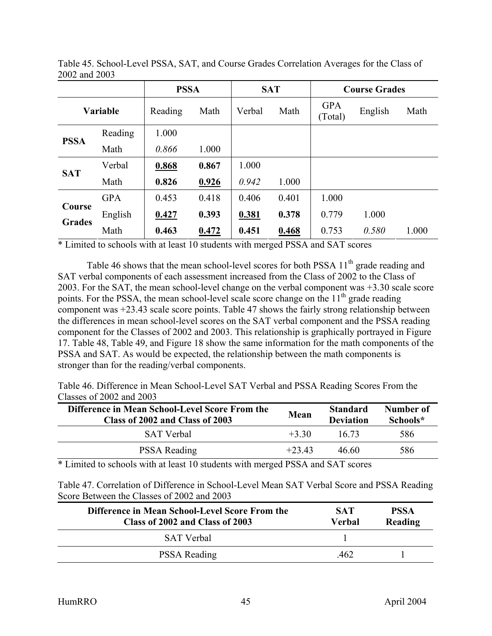|               |                 | <b>PSSA</b> |       |        | <b>SAT</b> |                       | <b>Course Grades</b> |       |
|---------------|-----------------|-------------|-------|--------|------------|-----------------------|----------------------|-------|
|               | <b>Variable</b> | Reading     | Math  | Verbal | Math       | <b>GPA</b><br>(Total) | English              | Math  |
| <b>PSSA</b>   | Reading         | 1.000       |       |        |            |                       |                      |       |
|               | Math            | 0.866       | 1.000 |        |            |                       |                      |       |
| <b>SAT</b>    | Verbal          | 0.868       | 0.867 | 1.000  |            |                       |                      |       |
|               | Math            | 0.826       | 0.926 | 0.942  | 1.000      |                       |                      |       |
|               | <b>GPA</b>      | 0.453       | 0.418 | 0.406  | 0.401      | 1.000                 |                      |       |
| Course        | English         | 0.427       | 0.393 | 0.381  | 0.378      | 0.779                 | 1.000                |       |
| <b>Grades</b> | Math            | 0.463       | 0.472 | 0.451  | 0.468      | 0.753                 | 0.580                | 1.000 |

Table 45. School-Level PSSA, SAT, and Course Grades Correlation Averages for the Class of 2002 and 2003

Table 46 shows that the mean school-level scores for both PSSA  $11<sup>th</sup>$  grade reading and SAT verbal components of each assessment increased from the Class of 2002 to the Class of 2003. For the SAT, the mean school-level change on the verbal component was +3.30 scale score points. For the PSSA, the mean school-level scale score change on the  $11<sup>th</sup>$  grade reading component was +23.43 scale score points. Table 47 shows the fairly strong relationship between the differences in mean school-level scores on the SAT verbal component and the PSSA reading component for the Classes of 2002 and 2003. This relationship is graphically portrayed in Figure 17. Table 48, Table 49, and Figure 18 show the same information for the math components of the PSSA and SAT. As would be expected, the relationship between the math components is stronger than for the reading/verbal components.

Table 46. Difference in Mean School-Level SAT Verbal and PSSA Reading Scores From the Classes of 2002 and 2003

| Difference in Mean School-Level Score From the<br>Class of 2002 and Class of 2003 | Mean                        | <b>Standard</b><br><b>Deviation</b> | Number of<br>Schools* |
|-----------------------------------------------------------------------------------|-----------------------------|-------------------------------------|-----------------------|
| <b>SAT</b> Verbal                                                                 | $+3.30$                     | 16.73                               | 586                   |
| <b>PSSA Reading</b>                                                               | $+23.43$                    | 46.60                               | 586                   |
| $-1$ $-1$ $-1$ $-1$ $-1$ $-1$                                                     | $\sim$ $\sim$ $\sim$ $\sim$ | $\sim$ $\sim$                       |                       |

\* Limited to schools with at least 10 students with merged PSSA and SAT scores

Table 47. Correlation of Difference in School-Level Mean SAT Verbal Score and PSSA Reading Score Between the Classes of 2002 and 2003

| Difference in Mean School-Level Score From the<br>Class of 2002 and Class of 2003 | <b>SAT</b><br>Verbal | <b>PSSA</b><br>Reading |
|-----------------------------------------------------------------------------------|----------------------|------------------------|
| SAT Verbal                                                                        |                      |                        |
| <b>PSSA Reading</b>                                                               | 462                  |                        |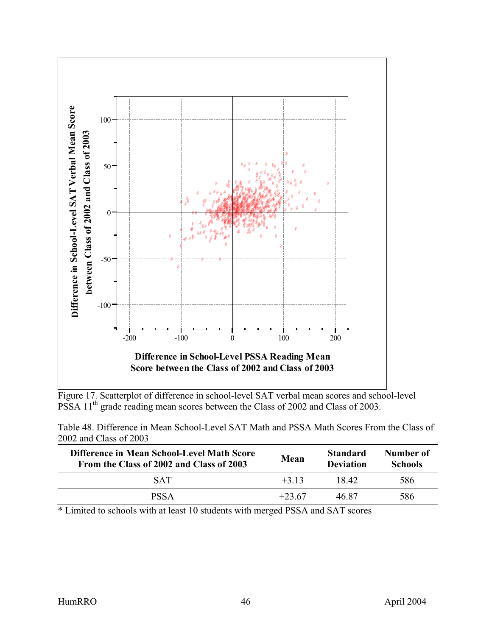

Figure 17. Scatterplot of difference in school-level SAT verbal mean scores and school-level PSSA 11<sup>th</sup> grade reading mean scores between the Class of 2002 and Class of 2003.

Table 48. Difference in Mean School-Level SAT Math and PSSA Math Scores From the Class of 2002 and Class of 2003

| Difference in Mean School-Level Math Score<br>From the Class of 2002 and Class of 2003 | <b>Mean</b> | <b>Standard</b><br><b>Deviation</b> | Number of<br><b>Schools</b> |
|----------------------------------------------------------------------------------------|-------------|-------------------------------------|-----------------------------|
| <b>SAT</b>                                                                             | $+313$      | 18.42                               | 586                         |
| <b>PSSA</b>                                                                            | $+23.67$    | 46.87                               | 586                         |

\* Limited to schools with at least 10 students with merged PSSA and SAT scores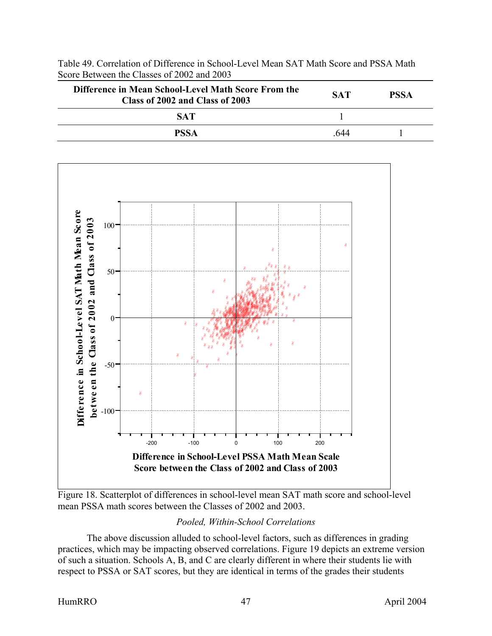





Figure 18. Scatterplot of differences in school-level mean SAT math score and school-level mean PSSA math scores between the Classes of 2002 and 2003.

## *Pooled, Within-School Correlations*

The above discussion alluded to school-level factors, such as differences in grading practices, which may be impacting observed correlations. Figure 19 depicts an extreme version of such a situation. Schools A, B, and C are clearly different in where their students lie with respect to PSSA or SAT scores, but they are identical in terms of the grades their students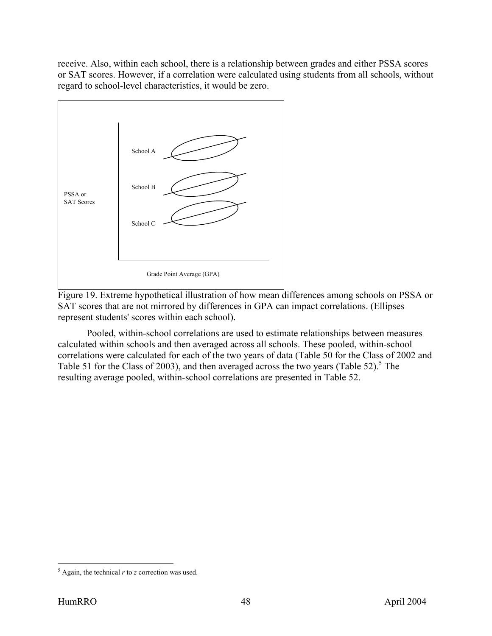<span id="page-55-0"></span>receive. Also, within each school, there is a relationship between grades and either PSSA scores or SAT scores. However, if a correlation were calculated using students from all schools, without regard to school-level characteristics, it would be zero.



Figure 19. Extreme hypothetical illustration of how mean differences among schools on PSSA or SAT scores that are not mirrored by differences in GPA can impact correlations. (Ellipses represent students' scores within each school).

Pooled, within-school correlations are used to estimate relationships between measures calculated within schools and then averaged across all schools. These pooled, within-school correlations were calculated for each of the two years of data (Table 50 for the Class of 2002 and Table 51 for the Class of 2003), and then averaged across the two years (Table 52).<sup>5</sup> The resulting average pooled, within-school correlations are presented in Table 52.

 $\overline{a}$  $<sup>5</sup>$  Again, the technical *r* to *z* correction was used.</sup>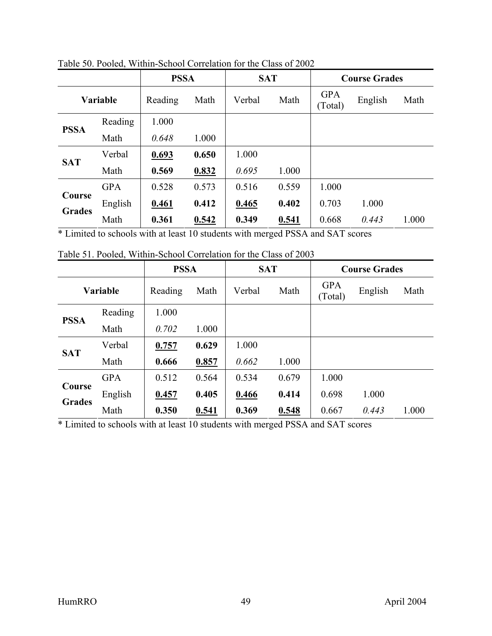|               |            | <b>PSSA</b> |       | <b>SAT</b> |       |                       | <b>Course Grades</b> |       |
|---------------|------------|-------------|-------|------------|-------|-----------------------|----------------------|-------|
|               | Variable   | Reading     | Math  | Verbal     | Math  | <b>GPA</b><br>(Total) | English              | Math  |
|               | Reading    | 1.000       |       |            |       |                       |                      |       |
| <b>PSSA</b>   | Math       | 0.648       | 1.000 |            |       |                       |                      |       |
| <b>SAT</b>    | Verbal     | 0.693       | 0.650 | 1.000      |       |                       |                      |       |
|               | Math       | 0.569       | 0.832 | 0.695      | 1.000 |                       |                      |       |
|               | <b>GPA</b> | 0.528       | 0.573 | 0.516      | 0.559 | 1.000                 |                      |       |
| Course        | English    | 0.461       | 0.412 | 0.465      | 0.402 | 0.703                 | 1.000                |       |
| <b>Grades</b> | Math       | 0.361       | 0.542 | 0.349      | 0.541 | 0.668                 | 0.443                | 1.000 |

Table 50. Pooled, Within-School Correlation for the Class of 2002

Table 51. Pooled, Within-School Correlation for the Class of 2003

|               |            | <b>PSSA</b> |       | <b>SAT</b> |       |                       | <b>Course Grades</b> |       |
|---------------|------------|-------------|-------|------------|-------|-----------------------|----------------------|-------|
| Variable      |            | Reading     | Math  | Verbal     | Math  | <b>GPA</b><br>(Total) | English              | Math  |
| <b>PSSA</b>   | Reading    | 1.000       |       |            |       |                       |                      |       |
|               | Math       | 0.702       | 1.000 |            |       |                       |                      |       |
|               | Verbal     | 0.757       | 0.629 | 1.000      |       |                       |                      |       |
| <b>SAT</b>    | Math       | 0.666       | 0.857 | 0.662      | 1.000 |                       |                      |       |
|               | <b>GPA</b> | 0.512       | 0.564 | 0.534      | 0.679 | 1.000                 |                      |       |
| Course        | English    | 0.457       | 0.405 | 0.466      | 0.414 | 0.698                 | 1.000                |       |
| <b>Grades</b> | Math       | 0.350       | 0.541 | 0.369      | 0.548 | 0.667                 | 0.443                | 1.000 |

\* Limited to schools with at least 10 students with merged PSSA and SAT scores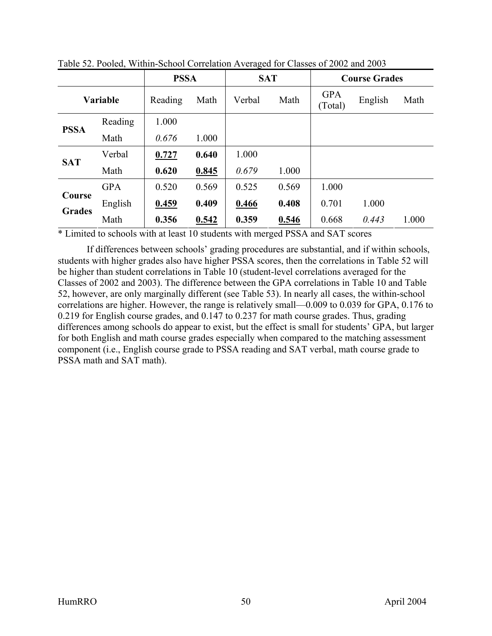|               |            | <b>PSSA</b> |       | <b>SAT</b> |       |                       | <b>Course Grades</b> |       |
|---------------|------------|-------------|-------|------------|-------|-----------------------|----------------------|-------|
| Variable      |            | Reading     | Math  | Verbal     | Math  | <b>GPA</b><br>(Total) | English              | Math  |
| <b>PSSA</b>   | Reading    | 1.000       |       |            |       |                       |                      |       |
|               | Math       | 0.676       | 1.000 |            |       |                       |                      |       |
|               | Verbal     | 0.727       | 0.640 | 1.000      |       |                       |                      |       |
| <b>SAT</b>    | Math       | 0.620       | 0.845 | 0.679      | 1.000 |                       |                      |       |
|               | <b>GPA</b> | 0.520       | 0.569 | 0.525      | 0.569 | 1.000                 |                      |       |
| Course        | English    | 0.459       | 0.409 | 0.466      | 0.408 | 0.701                 | 1.000                |       |
| <b>Grades</b> | Math       | 0.356       | 0.542 | 0.359      | 0.546 | 0.668                 | 0.443                | 1.000 |

Table 52. Pooled, Within-School Correlation Averaged for Classes of 2002 and 2003

If differences between schools' grading procedures are substantial, and if within schools, students with higher grades also have higher PSSA scores, then the correlations in Table 52 will be higher than student correlations in Table 10 (student-level correlations averaged for the Classes of 2002 and 2003). The difference between the GPA correlations in Table 10 and Table 52, however, are only marginally different (see Table 53). In nearly all cases, the within-school correlations are higher. However, the range is relatively small—0.009 to 0.039 for GPA, 0.176 to 0.219 for English course grades, and 0.147 to 0.237 for math course grades. Thus, grading differences among schools do appear to exist, but the effect is small for students' GPA, but larger for both English and math course grades especially when compared to the matching assessment component (i.e., English course grade to PSSA reading and SAT verbal, math course grade to PSSA math and SAT math).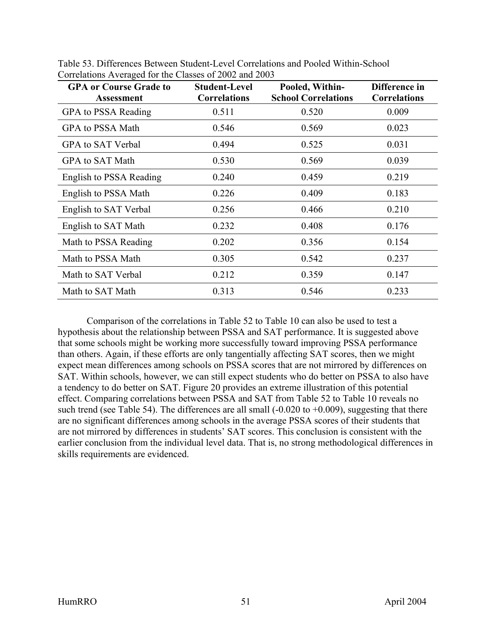| <b>GPA or Course Grade to</b><br><b>Assessment</b> | <b>Student-Level</b><br><b>Correlations</b> | Pooled, Within-<br><b>School Correlations</b> | Difference in<br><b>Correlations</b> |
|----------------------------------------------------|---------------------------------------------|-----------------------------------------------|--------------------------------------|
| GPA to PSSA Reading                                | 0.511                                       | 0.520                                         | 0.009                                |
| GPA to PSSA Math                                   | 0.546                                       | 0.569                                         | 0.023                                |
| GPA to SAT Verbal                                  | 0.494                                       | 0.525                                         | 0.031                                |
| GPA to SAT Math                                    | 0.530                                       | 0.569                                         | 0.039                                |
| English to PSSA Reading                            | 0.240                                       | 0.459                                         | 0.219                                |
| English to PSSA Math                               | 0.226                                       | 0.409                                         | 0.183                                |
| English to SAT Verbal                              | 0.256                                       | 0.466                                         | 0.210                                |
| English to SAT Math                                | 0.232                                       | 0.408                                         | 0.176                                |
| Math to PSSA Reading                               | 0.202                                       | 0.356                                         | 0.154                                |
| Math to PSSA Math                                  | 0.305                                       | 0.542                                         | 0.237                                |
| Math to SAT Verbal                                 | 0.212                                       | 0.359                                         | 0.147                                |
| Math to SAT Math                                   | 0.313                                       | 0.546                                         | 0.233                                |

Table 53. Differences Between Student-Level Correlations and Pooled Within-School Correlations Averaged for the Classes of 2002 and 2003

Comparison of the correlations in Table 52 to Table 10 can also be used to test a hypothesis about the relationship between PSSA and SAT performance. It is suggested above that some schools might be working more successfully toward improving PSSA performance than others. Again, if these efforts are only tangentially affecting SAT scores, then we might expect mean differences among schools on PSSA scores that are not mirrored by differences on SAT. Within schools, however, we can still expect students who do better on PSSA to also have a tendency to do better on SAT. Figure 20 provides an extreme illustration of this potential effect. Comparing correlations between PSSA and SAT from Table 52 to Table 10 reveals no such trend (see Table 54). The differences are all small  $(-0.020 \text{ to } +0.009)$ , suggesting that there are no significant differences among schools in the average PSSA scores of their students that are not mirrored by differences in students' SAT scores. This conclusion is consistent with the earlier conclusion from the individual level data. That is, no strong methodological differences in skills requirements are evidenced.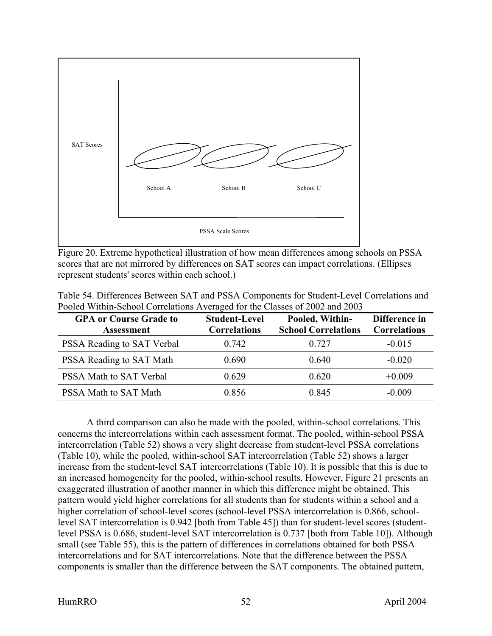

Figure 20. Extreme hypothetical illustration of how mean differences among schools on PSSA scores that are not mirrored by differences on SAT scores can impact correlations. (Ellipses represent students' scores within each school.)

| <b>GPA or Course Grade to</b><br><b>Assessment</b> | <b>Student-Level</b><br><b>Correlations</b> | Pooled, Within-<br><b>School Correlations</b> | Difference in<br><b>Correlations</b> |
|----------------------------------------------------|---------------------------------------------|-----------------------------------------------|--------------------------------------|
| PSSA Reading to SAT Verbal                         | 0.742                                       | 0.727                                         | $-0.015$                             |
| PSSA Reading to SAT Math                           | 0.690                                       | 0.640                                         | $-0.020$                             |
| PSSA Math to SAT Verbal                            | 0.629                                       | 0.620                                         | $+0.009$                             |
| PSSA Math to SAT Math                              | 0.856                                       | 0.845                                         | $-0.009$                             |

Table 54. Differences Between SAT and PSSA Components for Student-Level Correlations and Pooled Within-School Correlations Averaged for the Classes of 2002 and 2003

A third comparison can also be made with the pooled, within-school correlations. This concerns the intercorrelations within each assessment format. The pooled, within-school PSSA intercorrelation (Table 52) shows a very slight decrease from student-level PSSA correlations (Table 10), while the pooled, within-school SAT intercorrelation (Table 52) shows a larger increase from the student-level SAT intercorrelations (Table 10). It is possible that this is due to an increased homogeneity for the pooled, within-school results. However, Figure 21 presents an exaggerated illustration of another manner in which this difference might be obtained. This pattern would yield higher correlations for all students than for students within a school and a higher correlation of school-level scores (school-level PSSA intercorrelation is 0.866, schoollevel SAT intercorrelation is 0.942 [both from Table 45]) than for student-level scores (studentlevel PSSA is 0.686, student-level SAT intercorrelation is 0.737 [both from Table 10]). Although small (see Table 55), this is the pattern of differences in correlations obtained for both PSSA intercorrelations and for SAT intercorrelations. Note that the difference between the PSSA components is smaller than the difference between the SAT components. The obtained pattern,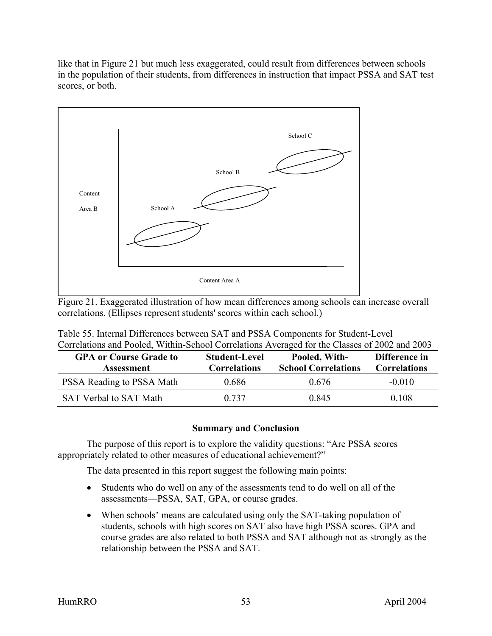<span id="page-60-0"></span>like that in Figure 21 but much less exaggerated, could result from differences between schools in the population of their students, from differences in instruction that impact PSSA and SAT test scores, or both.



Figure 21. Exaggerated illustration of how mean differences among schools can increase overall correlations. (Ellipses represent students' scores within each school.)

| Correlations and Fooled, Within-School Correlations Averaged for the Classes of 2002 and 2009<br><b>GPA or Course Grade to</b><br><b>Assessment</b> | <b>Student-Level</b><br><b>Correlations</b> | Pooled, With-<br><b>School Correlations</b> | Difference in<br><b>Correlations</b> |
|-----------------------------------------------------------------------------------------------------------------------------------------------------|---------------------------------------------|---------------------------------------------|--------------------------------------|
| PSSA Reading to PSSA Math                                                                                                                           | 0.686                                       | 0.676                                       | $-0.010$                             |
| <b>SAT Verbal to SAT Math</b>                                                                                                                       | 0.737                                       | 0.845                                       | 0.108                                |

Table 55. Internal Differences between SAT and PSSA Components for Student-Level Correlations and Pooled, Within-School Correlations Averaged for the Classes of 2002 and 2003

#### **Summary and Conclusion**

The purpose of this report is to explore the validity questions: "Are PSSA scores appropriately related to other measures of educational achievement?"

The data presented in this report suggest the following main points:

- Students who do well on any of the assessments tend to do well on all of the assessments—PSSA, SAT, GPA, or course grades.
- When schools' means are calculated using only the SAT-taking population of students, schools with high scores on SAT also have high PSSA scores. GPA and course grades are also related to both PSSA and SAT although not as strongly as the relationship between the PSSA and SAT.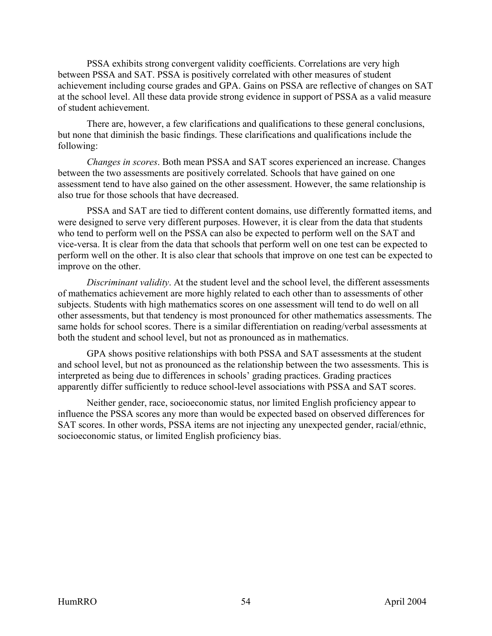PSSA exhibits strong convergent validity coefficients. Correlations are very high between PSSA and SAT. PSSA is positively correlated with other measures of student achievement including course grades and GPA. Gains on PSSA are reflective of changes on SAT at the school level. All these data provide strong evidence in support of PSSA as a valid measure of student achievement.

There are, however, a few clarifications and qualifications to these general conclusions, but none that diminish the basic findings. These clarifications and qualifications include the following:

*Changes in scores*. Both mean PSSA and SAT scores experienced an increase. Changes between the two assessments are positively correlated. Schools that have gained on one assessment tend to have also gained on the other assessment. However, the same relationship is also true for those schools that have decreased.

PSSA and SAT are tied to different content domains, use differently formatted items, and were designed to serve very different purposes. However, it is clear from the data that students who tend to perform well on the PSSA can also be expected to perform well on the SAT and vice-versa. It is clear from the data that schools that perform well on one test can be expected to perform well on the other. It is also clear that schools that improve on one test can be expected to improve on the other.

*Discriminant validity*. At the student level and the school level, the different assessments of mathematics achievement are more highly related to each other than to assessments of other subjects. Students with high mathematics scores on one assessment will tend to do well on all other assessments, but that tendency is most pronounced for other mathematics assessments. The same holds for school scores. There is a similar differentiation on reading/verbal assessments at both the student and school level, but not as pronounced as in mathematics.

GPA shows positive relationships with both PSSA and SAT assessments at the student and school level, but not as pronounced as the relationship between the two assessments. This is interpreted as being due to differences in schools' grading practices. Grading practices apparently differ sufficiently to reduce school-level associations with PSSA and SAT scores.

Neither gender, race, socioeconomic status, nor limited English proficiency appear to influence the PSSA scores any more than would be expected based on observed differences for SAT scores. In other words, PSSA items are not injecting any unexpected gender, racial/ethnic, socioeconomic status, or limited English proficiency bias.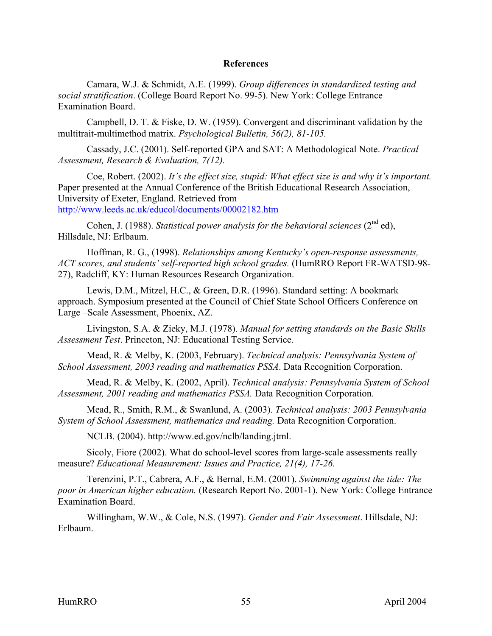#### **References**

<span id="page-62-0"></span>Camara, W.J. & Schmidt, A.E. (1999). *Group differences in standardized testing and social stratification*. (College Board Report No. 99-5). New York: College Entrance Examination Board.

Campbell, D. T. & Fiske, D. W. (1959). Convergent and discriminant validation by the multitrait-multimethod matrix. *Psychological Bulletin, 56(2), 81-105.* 

Cassady, J.C. (2001). Self-reported GPA and SAT: A Methodological Note. *Practical Assessment, Research & Evaluation, 7(12).* 

Coe, Robert. (2002). *It's the effect size, stupid: What effect size is and why it's important.*  Paper presented at the Annual Conference of the British Educational Research Association, University of Exeter, England. Retrieved from http://www.leeds.ac.uk/educol/documents/00002182.htm

Cohen, J. (1988). *Statistical power analysis for the behavioral sciences* ( $2<sup>nd</sup>$  ed), Hillsdale, NJ: Erlbaum.

Hoffman, R. G., (1998). *Relationships among Kentucky's open-response assessments, ACT scores, and students' self-reported high school grades.* (HumRRO Report FR-WATSD-98- 27), Radcliff, KY: Human Resources Research Organization.

Lewis, D.M., Mitzel, H.C., & Green, D.R. (1996). Standard setting: A bookmark approach. Symposium presented at the Council of Chief State School Officers Conference on Large –Scale Assessment, Phoenix, AZ.

Livingston, S.A. & Zieky, M.J. (1978). *Manual for setting standards on the Basic Skills Assessment Test*. Princeton, NJ: Educational Testing Service.

Mead, R. & Melby, K. (2003, February). *Technical analysis: Pennsylvania System of School Assessment, 2003 reading and mathematics PSSA*. Data Recognition Corporation.

Mead, R. & Melby, K. (2002, April). *Technical analysis: Pennsylvania System of School Assessment, 2001 reading and mathematics PSSA.* Data Recognition Corporation.

Mead, R., Smith, R.M., & Swanlund, A. (2003). *Technical analysis: 2003 Pennsylvania System of School Assessment, mathematics and reading.* Data Recognition Corporation.

NCLB. (2004). http://www.ed.gov/nclb/landing.jtml.

Sicoly, Fiore (2002). What do school-level scores from large-scale assessments really measure? *Educational Measurement: Issues and Practice, 21(4), 17-26.* 

Terenzini, P.T., Cabrera, A.F., & Bernal, E.M. (2001). *Swimming against the tide: The poor in American higher education.* (Research Report No. 2001-1). New York: College Entrance Examination Board.

Willingham, W.W., & Cole, N.S. (1997). *Gender and Fair Assessment*. Hillsdale, NJ: Erlbaum.